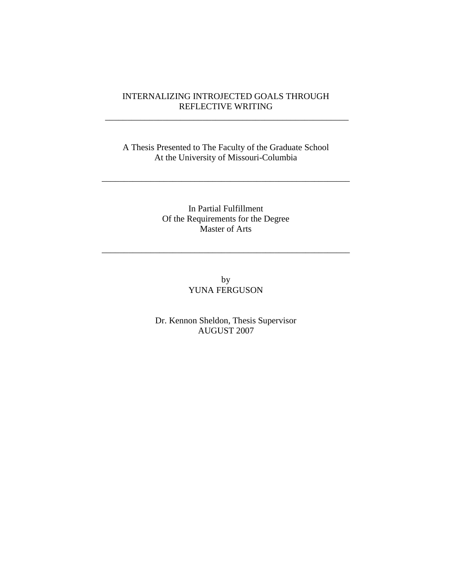# INTERNALIZING INTROJECTED GOALS THROUGH REFLECTIVE WRITING

\_\_\_\_\_\_\_\_\_\_\_\_\_\_\_\_\_\_\_\_\_\_\_\_\_\_\_\_\_\_\_\_\_\_\_\_\_\_\_\_\_\_\_\_\_\_\_\_\_\_\_\_\_\_\_

A Thesis Presented to The Faculty of the Graduate School At the University of Missouri-Columbia

\_\_\_\_\_\_\_\_\_\_\_\_\_\_\_\_\_\_\_\_\_\_\_\_\_\_\_\_\_\_\_\_\_\_\_\_\_\_\_\_\_\_\_\_\_\_\_\_\_\_\_\_\_\_\_\_

In Partial Fulfillment Of the Requirements for the Degree Master of Arts

\_\_\_\_\_\_\_\_\_\_\_\_\_\_\_\_\_\_\_\_\_\_\_\_\_\_\_\_\_\_\_\_\_\_\_\_\_\_\_\_\_\_\_\_\_\_\_\_\_\_\_\_\_\_\_\_

by YUNA FERGUSON

Dr. Kennon Sheldon, Thesis Supervisor AUGUST 2007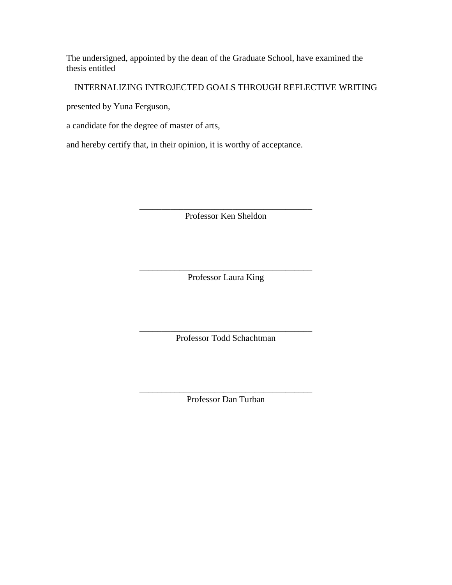The undersigned, appointed by the dean of the Graduate School, have examined the thesis entitled

INTERNALIZING INTROJECTED GOALS THROUGH REFLECTIVE WRITING

presented by Yuna Ferguson,

a candidate for the degree of master of arts,

and hereby certify that, in their opinion, it is worthy of acceptance.

\_\_\_\_\_\_\_\_\_\_\_\_\_\_\_\_\_\_\_\_\_\_\_\_\_\_\_\_\_\_\_\_\_\_\_\_\_\_\_ Professor Ken Sheldon

\_\_\_\_\_\_\_\_\_\_\_\_\_\_\_\_\_\_\_\_\_\_\_\_\_\_\_\_\_\_\_\_\_\_\_\_\_\_\_ Professor Laura King

\_\_\_\_\_\_\_\_\_\_\_\_\_\_\_\_\_\_\_\_\_\_\_\_\_\_\_\_\_\_\_\_\_\_\_\_\_\_\_ Professor Todd Schachtman

\_\_\_\_\_\_\_\_\_\_\_\_\_\_\_\_\_\_\_\_\_\_\_\_\_\_\_\_\_\_\_\_\_\_\_\_\_\_\_ Professor Dan Turban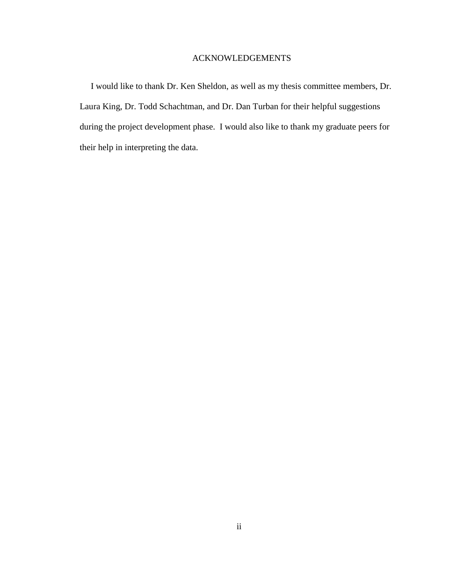## ACKNOWLEDGEMENTS

 I would like to thank Dr. Ken Sheldon, as well as my thesis committee members, Dr. Laura King, Dr. Todd Schachtman, and Dr. Dan Turban for their helpful suggestions during the project development phase. I would also like to thank my graduate peers for their help in interpreting the data.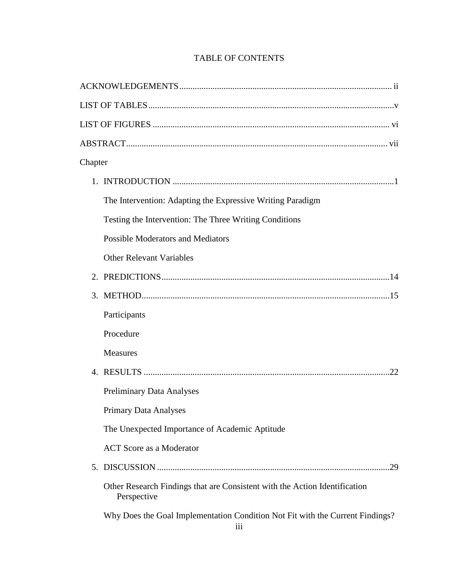# TABLE OF CONTENTS

| Chapter     |                                                                                           |     |
|-------------|-------------------------------------------------------------------------------------------|-----|
|             |                                                                                           |     |
|             | The Intervention: Adapting the Expressive Writing Paradigm                                |     |
|             | Testing the Intervention: The Three Writing Conditions                                    |     |
|             | <b>Possible Moderators and Mediators</b>                                                  |     |
|             | <b>Other Relevant Variables</b>                                                           |     |
| $2_{\cdot}$ |                                                                                           |     |
|             |                                                                                           |     |
|             | Participants                                                                              |     |
|             | Procedure                                                                                 |     |
|             | <b>Measures</b>                                                                           |     |
|             |                                                                                           |     |
|             | <b>Preliminary Data Analyses</b>                                                          |     |
|             | <b>Primary Data Analyses</b>                                                              |     |
|             | The Unexpected Importance of Academic Aptitude                                            |     |
|             | <b>ACT</b> Score as a Moderator                                                           |     |
| 5.          |                                                                                           | .29 |
|             | Other Research Findings that are Consistent with the Action Identification<br>Perspective |     |
|             | Why Does the Goal Implementation Condition Not Fit with the Current Findings?<br>iii      |     |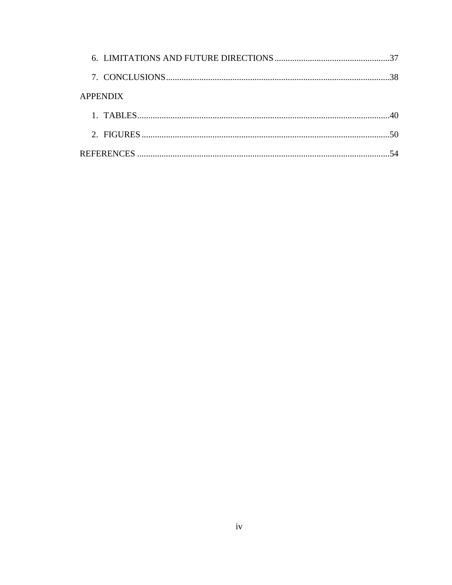| <b>APPENDIX</b> |  |
|-----------------|--|
|                 |  |
|                 |  |
|                 |  |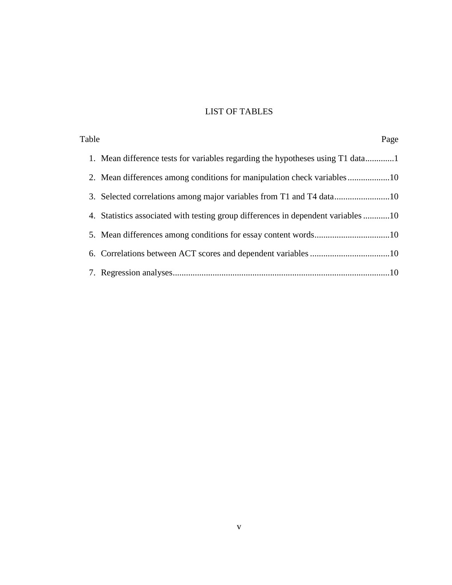# LIST OF TABLES

| Table | Page                                                                              |
|-------|-----------------------------------------------------------------------------------|
|       | 1. Mean difference tests for variables regarding the hypotheses using T1 data1    |
|       |                                                                                   |
|       |                                                                                   |
|       | 4. Statistics associated with testing group differences in dependent variables 10 |
|       |                                                                                   |
|       |                                                                                   |
|       |                                                                                   |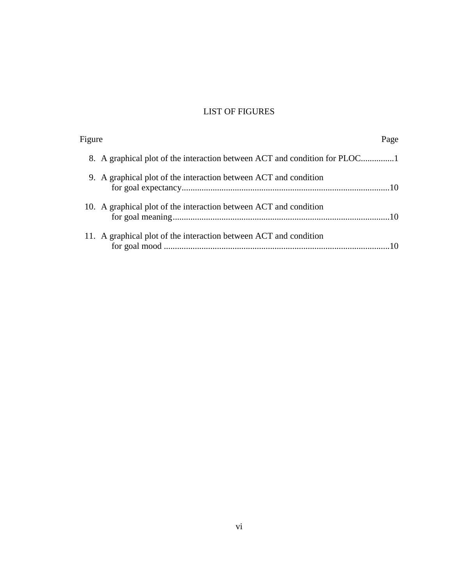# LIST OF FIGURES

| Figure | Page                                                                       |  |
|--------|----------------------------------------------------------------------------|--|
|        | 8. A graphical plot of the interaction between ACT and condition for PLOC1 |  |
|        | 9. A graphical plot of the interaction between ACT and condition           |  |
|        | 10. A graphical plot of the interaction between ACT and condition          |  |
|        | 11. A graphical plot of the interaction between ACT and condition          |  |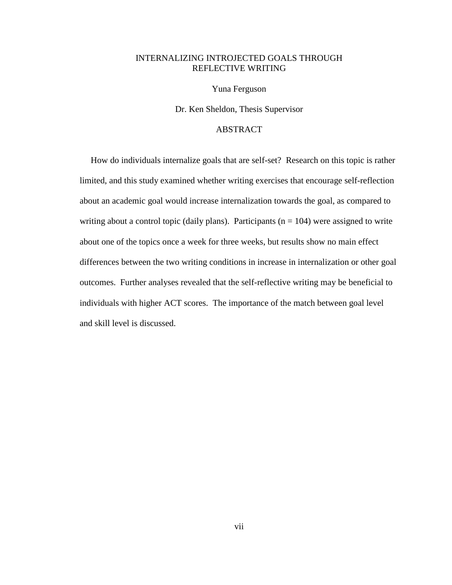# INTERNALIZING INTROJECTED GOALS THROUGH REFLECTIVE WRITING

Yuna Ferguson

Dr. Ken Sheldon, Thesis Supervisor

## ABSTRACT

 How do individuals internalize goals that are self-set? Research on this topic is rather limited, and this study examined whether writing exercises that encourage self-reflection about an academic goal would increase internalization towards the goal, as compared to writing about a control topic (daily plans). Participants ( $n = 104$ ) were assigned to write about one of the topics once a week for three weeks, but results show no main effect differences between the two writing conditions in increase in internalization or other goal outcomes. Further analyses revealed that the self-reflective writing may be beneficial to individuals with higher ACT scores. The importance of the match between goal level and skill level is discussed.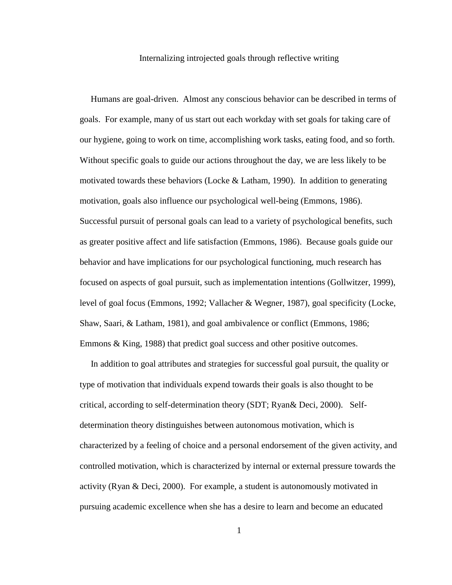#### Internalizing introjected goals through reflective writing

 Humans are goal-driven. Almost any conscious behavior can be described in terms of goals. For example, many of us start out each workday with set goals for taking care of our hygiene, going to work on time, accomplishing work tasks, eating food, and so forth. Without specific goals to guide our actions throughout the day, we are less likely to be motivated towards these behaviors (Locke  $& Latham$ , 1990). In addition to generating motivation, goals also influence our psychological well-being (Emmons, 1986). Successful pursuit of personal goals can lead to a variety of psychological benefits, such as greater positive affect and life satisfaction (Emmons, 1986). Because goals guide our behavior and have implications for our psychological functioning, much research has focused on aspects of goal pursuit, such as implementation intentions (Gollwitzer, 1999), level of goal focus (Emmons, 1992; Vallacher & Wegner, 1987), goal specificity (Locke, Shaw, Saari, & Latham, 1981), and goal ambivalence or conflict (Emmons, 1986; Emmons & King, 1988) that predict goal success and other positive outcomes.

 In addition to goal attributes and strategies for successful goal pursuit, the quality or type of motivation that individuals expend towards their goals is also thought to be critical, according to self-determination theory (SDT; Ryan& Deci, 2000). Selfdetermination theory distinguishes between autonomous motivation, which is characterized by a feeling of choice and a personal endorsement of the given activity, and controlled motivation, which is characterized by internal or external pressure towards the activity (Ryan & Deci, 2000). For example, a student is autonomously motivated in pursuing academic excellence when she has a desire to learn and become an educated

1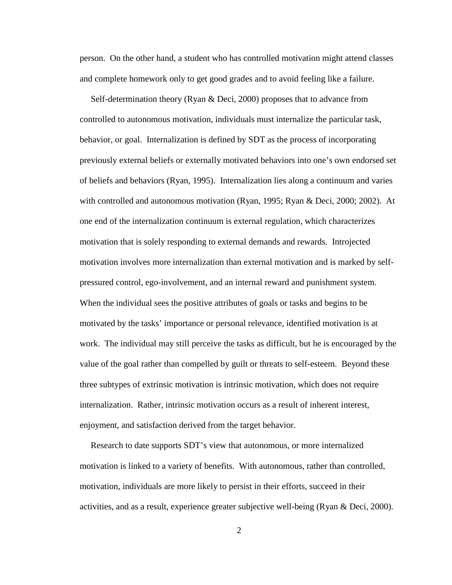person. On the other hand, a student who has controlled motivation might attend classes and complete homework only to get good grades and to avoid feeling like a failure.

 Self-determination theory (Ryan & Deci, 2000) proposes that to advance from controlled to autonomous motivation, individuals must internalize the particular task, behavior, or goal. Internalization is defined by SDT as the process of incorporating previously external beliefs or externally motivated behaviors into one's own endorsed set of beliefs and behaviors (Ryan, 1995). Internalization lies along a continuum and varies with controlled and autonomous motivation (Ryan, 1995; Ryan & Deci, 2000; 2002). At one end of the internalization continuum is external regulation, which characterizes motivation that is solely responding to external demands and rewards. Introjected motivation involves more internalization than external motivation and is marked by selfpressured control, ego-involvement, and an internal reward and punishment system. When the individual sees the positive attributes of goals or tasks and begins to be motivated by the tasks' importance or personal relevance, identified motivation is at work. The individual may still perceive the tasks as difficult, but he is encouraged by the value of the goal rather than compelled by guilt or threats to self-esteem. Beyond these three subtypes of extrinsic motivation is intrinsic motivation, which does not require internalization. Rather, intrinsic motivation occurs as a result of inherent interest, enjoyment, and satisfaction derived from the target behavior.

 Research to date supports SDT's view that autonomous, or more internalized motivation is linked to a variety of benefits. With autonomous, rather than controlled, motivation, individuals are more likely to persist in their efforts, succeed in their activities, and as a result, experience greater subjective well-being (Ryan & Deci, 2000).

2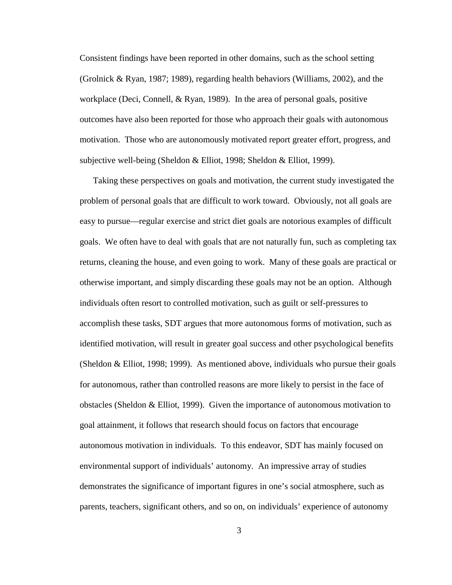Consistent findings have been reported in other domains, such as the school setting (Grolnick & Ryan, 1987; 1989), regarding health behaviors (Williams, 2002), and the workplace (Deci, Connell, & Ryan, 1989). In the area of personal goals, positive outcomes have also been reported for those who approach their goals with autonomous motivation. Those who are autonomously motivated report greater effort, progress, and subjective well-being (Sheldon & Elliot, 1998; Sheldon & Elliot, 1999).

 Taking these perspectives on goals and motivation, the current study investigated the problem of personal goals that are difficult to work toward. Obviously, not all goals are easy to pursue—regular exercise and strict diet goals are notorious examples of difficult goals. We often have to deal with goals that are not naturally fun, such as completing tax returns, cleaning the house, and even going to work. Many of these goals are practical or otherwise important, and simply discarding these goals may not be an option. Although individuals often resort to controlled motivation, such as guilt or self-pressures to accomplish these tasks, SDT argues that more autonomous forms of motivation, such as identified motivation, will result in greater goal success and other psychological benefits (Sheldon & Elliot, 1998; 1999). As mentioned above, individuals who pursue their goals for autonomous, rather than controlled reasons are more likely to persist in the face of obstacles (Sheldon & Elliot, 1999). Given the importance of autonomous motivation to goal attainment, it follows that research should focus on factors that encourage autonomous motivation in individuals. To this endeavor, SDT has mainly focused on environmental support of individuals' autonomy. An impressive array of studies demonstrates the significance of important figures in one's social atmosphere, such as parents, teachers, significant others, and so on, on individuals' experience of autonomy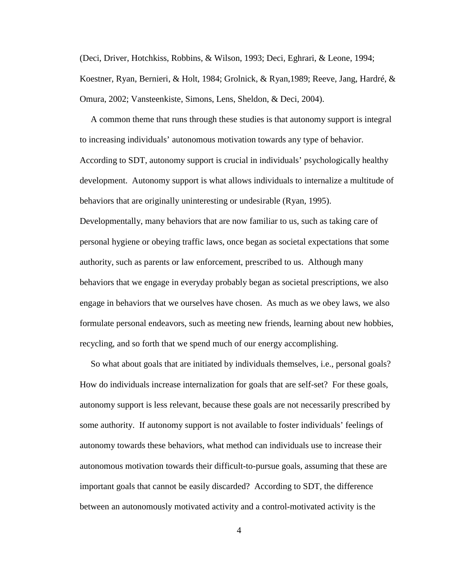(Deci, Driver, Hotchkiss, Robbins, & Wilson, 1993; Deci, Eghrari, & Leone, 1994; Koestner, Ryan, Bernieri, & Holt, 1984; Grolnick, & Ryan,1989; Reeve, Jang, Hardré, & Omura, 2002; Vansteenkiste, Simons, Lens, Sheldon, & Deci, 2004).

 A common theme that runs through these studies is that autonomy support is integral to increasing individuals' autonomous motivation towards any type of behavior. According to SDT, autonomy support is crucial in individuals' psychologically healthy development. Autonomy support is what allows individuals to internalize a multitude of behaviors that are originally uninteresting or undesirable (Ryan, 1995).

Developmentally, many behaviors that are now familiar to us, such as taking care of personal hygiene or obeying traffic laws, once began as societal expectations that some authority, such as parents or law enforcement, prescribed to us. Although many behaviors that we engage in everyday probably began as societal prescriptions, we also engage in behaviors that we ourselves have chosen. As much as we obey laws, we also formulate personal endeavors, such as meeting new friends, learning about new hobbies, recycling, and so forth that we spend much of our energy accomplishing.

 So what about goals that are initiated by individuals themselves, i.e., personal goals? How do individuals increase internalization for goals that are self-set? For these goals, autonomy support is less relevant, because these goals are not necessarily prescribed by some authority. If autonomy support is not available to foster individuals' feelings of autonomy towards these behaviors, what method can individuals use to increase their autonomous motivation towards their difficult-to-pursue goals, assuming that these are important goals that cannot be easily discarded? According to SDT, the difference between an autonomously motivated activity and a control-motivated activity is the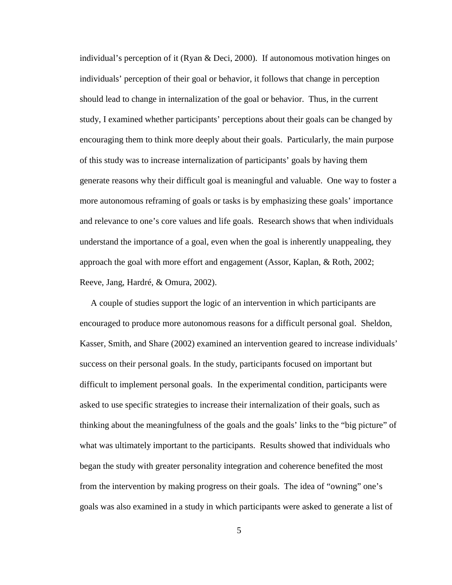individual's perception of it (Ryan & Deci, 2000). If autonomous motivation hinges on individuals' perception of their goal or behavior, it follows that change in perception should lead to change in internalization of the goal or behavior. Thus, in the current study, I examined whether participants' perceptions about their goals can be changed by encouraging them to think more deeply about their goals. Particularly, the main purpose of this study was to increase internalization of participants' goals by having them generate reasons why their difficult goal is meaningful and valuable. One way to foster a more autonomous reframing of goals or tasks is by emphasizing these goals' importance and relevance to one's core values and life goals. Research shows that when individuals understand the importance of a goal, even when the goal is inherently unappealing, they approach the goal with more effort and engagement (Assor, Kaplan, & Roth, 2002; Reeve, Jang, Hardré, & Omura, 2002).

 A couple of studies support the logic of an intervention in which participants are encouraged to produce more autonomous reasons for a difficult personal goal. Sheldon, Kasser, Smith, and Share (2002) examined an intervention geared to increase individuals' success on their personal goals. In the study, participants focused on important but difficult to implement personal goals. In the experimental condition, participants were asked to use specific strategies to increase their internalization of their goals, such as thinking about the meaningfulness of the goals and the goals' links to the "big picture" of what was ultimately important to the participants. Results showed that individuals who began the study with greater personality integration and coherence benefited the most from the intervention by making progress on their goals. The idea of "owning" one's goals was also examined in a study in which participants were asked to generate a list of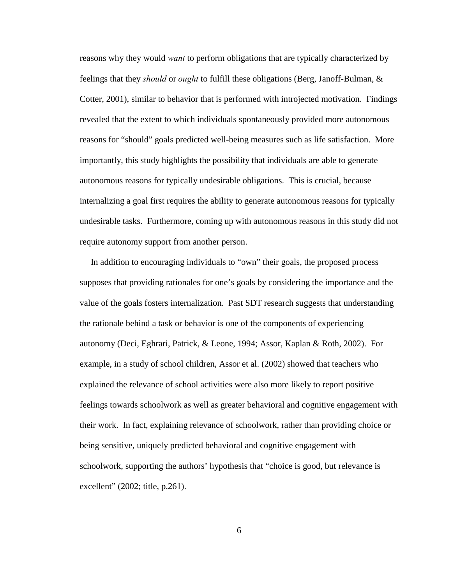reasons why they would *want* to perform obligations that are typically characterized by feelings that they *should* or *ought* to fulfill these obligations (Berg, Janoff-Bulman, & Cotter, 2001), similar to behavior that is performed with introjected motivation. Findings revealed that the extent to which individuals spontaneously provided more autonomous reasons for "should" goals predicted well-being measures such as life satisfaction. More importantly, this study highlights the possibility that individuals are able to generate autonomous reasons for typically undesirable obligations. This is crucial, because internalizing a goal first requires the ability to generate autonomous reasons for typically undesirable tasks. Furthermore, coming up with autonomous reasons in this study did not require autonomy support from another person.

 In addition to encouraging individuals to "own" their goals, the proposed process supposes that providing rationales for one's goals by considering the importance and the value of the goals fosters internalization. Past SDT research suggests that understanding the rationale behind a task or behavior is one of the components of experiencing autonomy (Deci, Eghrari, Patrick, & Leone, 1994; Assor, Kaplan & Roth, 2002). For example, in a study of school children, Assor et al. (2002) showed that teachers who explained the relevance of school activities were also more likely to report positive feelings towards schoolwork as well as greater behavioral and cognitive engagement with their work. In fact, explaining relevance of schoolwork, rather than providing choice or being sensitive, uniquely predicted behavioral and cognitive engagement with schoolwork, supporting the authors' hypothesis that "choice is good, but relevance is excellent" (2002; title, p.261).

6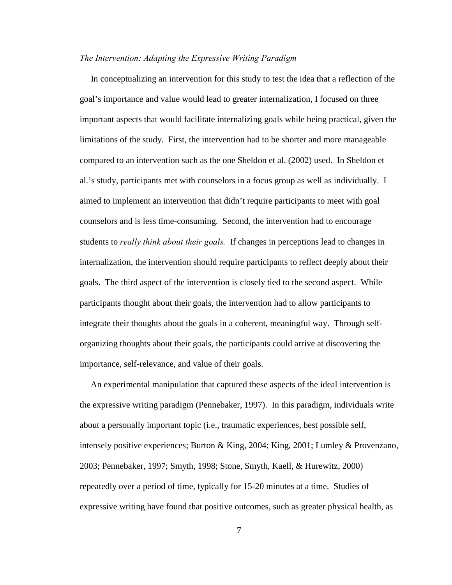#### *The Intervention: Adapting the Expressive Writing Paradigm*

 In conceptualizing an intervention for this study to test the idea that a reflection of the goal's importance and value would lead to greater internalization, I focused on three important aspects that would facilitate internalizing goals while being practical, given the limitations of the study. First, the intervention had to be shorter and more manageable compared to an intervention such as the one Sheldon et al. (2002) used. In Sheldon et al.'s study, participants met with counselors in a focus group as well as individually. I aimed to implement an intervention that didn't require participants to meet with goal counselors and is less time-consuming. Second, the intervention had to encourage students to *really think about their goals.* If changes in perceptions lead to changes in internalization, the intervention should require participants to reflect deeply about their goals. The third aspect of the intervention is closely tied to the second aspect. While participants thought about their goals, the intervention had to allow participants to integrate their thoughts about the goals in a coherent, meaningful way. Through selforganizing thoughts about their goals, the participants could arrive at discovering the importance, self-relevance, and value of their goals.

 An experimental manipulation that captured these aspects of the ideal intervention is the expressive writing paradigm (Pennebaker, 1997). In this paradigm, individuals write about a personally important topic (i.e., traumatic experiences, best possible self, intensely positive experiences; Burton & King, 2004; King, 2001; Lumley & Provenzano, 2003; Pennebaker, 1997; Smyth, 1998; Stone, Smyth, Kaell, & Hurewitz, 2000) repeatedly over a period of time, typically for 15-20 minutes at a time. Studies of expressive writing have found that positive outcomes, such as greater physical health, as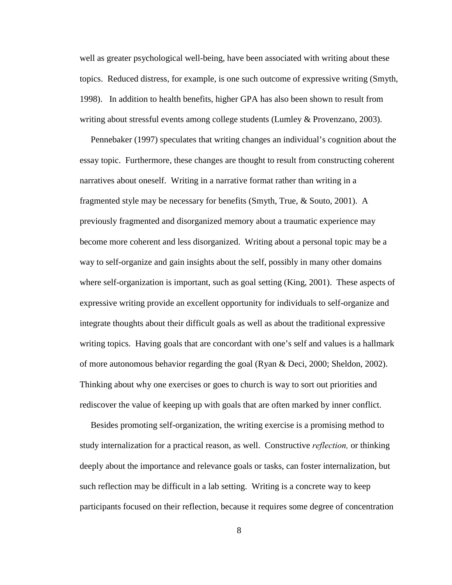well as greater psychological well-being, have been associated with writing about these topics. Reduced distress, for example, is one such outcome of expressive writing (Smyth, 1998). In addition to health benefits, higher GPA has also been shown to result from writing about stressful events among college students (Lumley & Provenzano, 2003).

 Pennebaker (1997) speculates that writing changes an individual's cognition about the essay topic. Furthermore, these changes are thought to result from constructing coherent narratives about oneself. Writing in a narrative format rather than writing in a fragmented style may be necessary for benefits (Smyth, True, & Souto, 2001). A previously fragmented and disorganized memory about a traumatic experience may become more coherent and less disorganized. Writing about a personal topic may be a way to self-organize and gain insights about the self, possibly in many other domains where self-organization is important, such as goal setting (King, 2001). These aspects of expressive writing provide an excellent opportunity for individuals to self-organize and integrate thoughts about their difficult goals as well as about the traditional expressive writing topics. Having goals that are concordant with one's self and values is a hallmark of more autonomous behavior regarding the goal (Ryan & Deci, 2000; Sheldon, 2002). Thinking about why one exercises or goes to church is way to sort out priorities and rediscover the value of keeping up with goals that are often marked by inner conflict.

 Besides promoting self-organization, the writing exercise is a promising method to study internalization for a practical reason, as well. Constructive *reflection,* or thinking deeply about the importance and relevance goals or tasks, can foster internalization, but such reflection may be difficult in a lab setting. Writing is a concrete way to keep participants focused on their reflection, because it requires some degree of concentration

8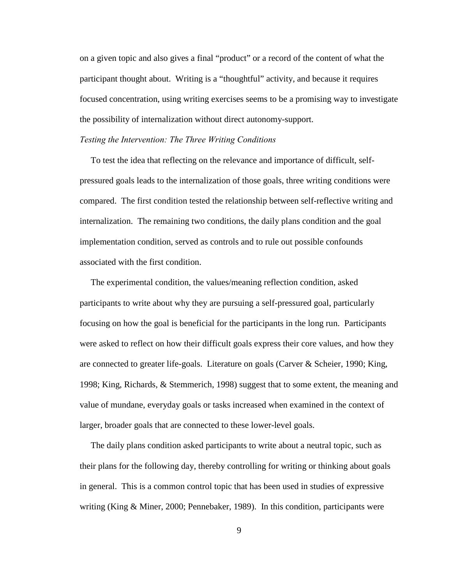on a given topic and also gives a final "product" or a record of the content of what the participant thought about. Writing is a "thoughtful" activity, and because it requires focused concentration, using writing exercises seems to be a promising way to investigate the possibility of internalization without direct autonomy-support.

#### *Testing the Intervention: The Three Writing Conditions*

 To test the idea that reflecting on the relevance and importance of difficult, selfpressured goals leads to the internalization of those goals, three writing conditions were compared. The first condition tested the relationship between self-reflective writing and internalization. The remaining two conditions, the daily plans condition and the goal implementation condition, served as controls and to rule out possible confounds associated with the first condition.

 The experimental condition, the values/meaning reflection condition, asked participants to write about why they are pursuing a self-pressured goal, particularly focusing on how the goal is beneficial for the participants in the long run. Participants were asked to reflect on how their difficult goals express their core values, and how they are connected to greater life-goals. Literature on goals (Carver & Scheier, 1990; King, 1998; King, Richards, & Stemmerich, 1998) suggest that to some extent, the meaning and value of mundane, everyday goals or tasks increased when examined in the context of larger, broader goals that are connected to these lower-level goals.

 The daily plans condition asked participants to write about a neutral topic, such as their plans for the following day, thereby controlling for writing or thinking about goals in general. This is a common control topic that has been used in studies of expressive writing (King & Miner, 2000; Pennebaker, 1989). In this condition, participants were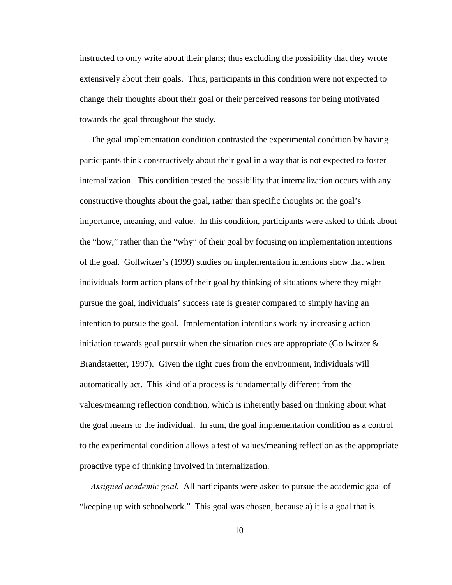instructed to only write about their plans; thus excluding the possibility that they wrote extensively about their goals. Thus, participants in this condition were not expected to change their thoughts about their goal or their perceived reasons for being motivated towards the goal throughout the study.

 The goal implementation condition contrasted the experimental condition by having participants think constructively about their goal in a way that is not expected to foster internalization. This condition tested the possibility that internalization occurs with any constructive thoughts about the goal, rather than specific thoughts on the goal's importance, meaning, and value. In this condition, participants were asked to think about the "how," rather than the "why" of their goal by focusing on implementation intentions of the goal. Gollwitzer's (1999) studies on implementation intentions show that when individuals form action plans of their goal by thinking of situations where they might pursue the goal, individuals' success rate is greater compared to simply having an intention to pursue the goal. Implementation intentions work by increasing action initiation towards goal pursuit when the situation cues are appropriate (Gollwitzer  $\&$ Brandstaetter, 1997). Given the right cues from the environment, individuals will automatically act. This kind of a process is fundamentally different from the values/meaning reflection condition, which is inherently based on thinking about what the goal means to the individual. In sum, the goal implementation condition as a control to the experimental condition allows a test of values/meaning reflection as the appropriate proactive type of thinking involved in internalization.

 *Assigned academic goal.* All participants were asked to pursue the academic goal of "keeping up with schoolwork." This goal was chosen, because a) it is a goal that is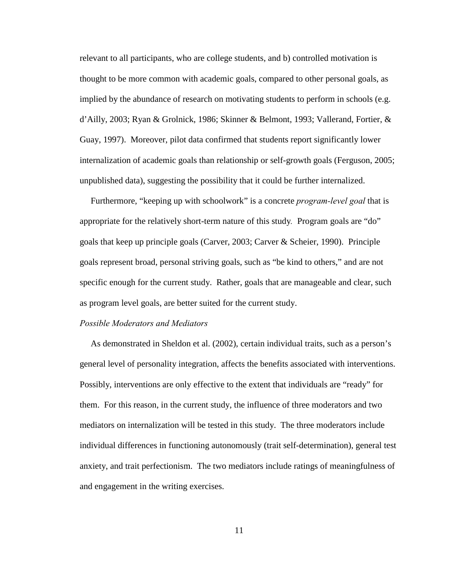relevant to all participants, who are college students, and b) controlled motivation is thought to be more common with academic goals, compared to other personal goals, as implied by the abundance of research on motivating students to perform in schools (e.g. d'Ailly, 2003; Ryan & Grolnick, 1986; Skinner & Belmont, 1993; Vallerand, Fortier, & Guay, 1997). Moreover, pilot data confirmed that students report significantly lower internalization of academic goals than relationship or self-growth goals (Ferguson, 2005; unpublished data), suggesting the possibility that it could be further internalized.

 Furthermore, "keeping up with schoolwork" is a concrete *program-level goal* that is appropriate for the relatively short-term nature of this study*.* Program goals are "do" goals that keep up principle goals (Carver, 2003; Carver & Scheier, 1990). Principle goals represent broad, personal striving goals, such as "be kind to others," and are not specific enough for the current study. Rather, goals that are manageable and clear, such as program level goals, are better suited for the current study.

#### *Possible Moderators and Mediators*

 As demonstrated in Sheldon et al. (2002), certain individual traits, such as a person's general level of personality integration, affects the benefits associated with interventions. Possibly, interventions are only effective to the extent that individuals are "ready" for them. For this reason, in the current study, the influence of three moderators and two mediators on internalization will be tested in this study. The three moderators include individual differences in functioning autonomously (trait self-determination), general test anxiety, and trait perfectionism. The two mediators include ratings of meaningfulness of and engagement in the writing exercises.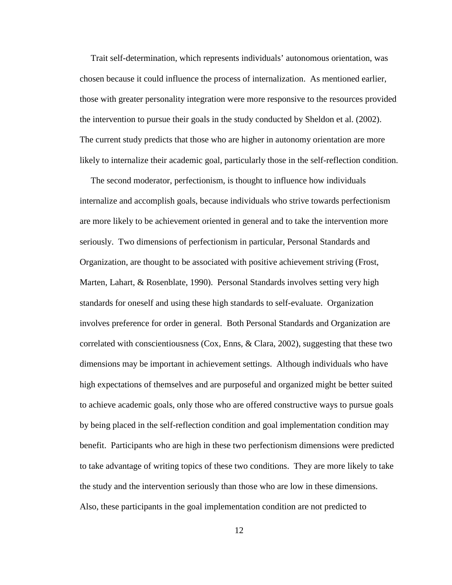Trait self-determination, which represents individuals' autonomous orientation, was chosen because it could influence the process of internalization. As mentioned earlier, those with greater personality integration were more responsive to the resources provided the intervention to pursue their goals in the study conducted by Sheldon et al. (2002). The current study predicts that those who are higher in autonomy orientation are more likely to internalize their academic goal, particularly those in the self-reflection condition.

 The second moderator, perfectionism, is thought to influence how individuals internalize and accomplish goals, because individuals who strive towards perfectionism are more likely to be achievement oriented in general and to take the intervention more seriously. Two dimensions of perfectionism in particular, Personal Standards and Organization, are thought to be associated with positive achievement striving (Frost, Marten, Lahart, & Rosenblate, 1990). Personal Standards involves setting very high standards for oneself and using these high standards to self-evaluate. Organization involves preference for order in general. Both Personal Standards and Organization are correlated with conscientiousness (Cox, Enns, & Clara, 2002), suggesting that these two dimensions may be important in achievement settings. Although individuals who have high expectations of themselves and are purposeful and organized might be better suited to achieve academic goals, only those who are offered constructive ways to pursue goals by being placed in the self-reflection condition and goal implementation condition may benefit. Participants who are high in these two perfectionism dimensions were predicted to take advantage of writing topics of these two conditions. They are more likely to take the study and the intervention seriously than those who are low in these dimensions. Also, these participants in the goal implementation condition are not predicted to

12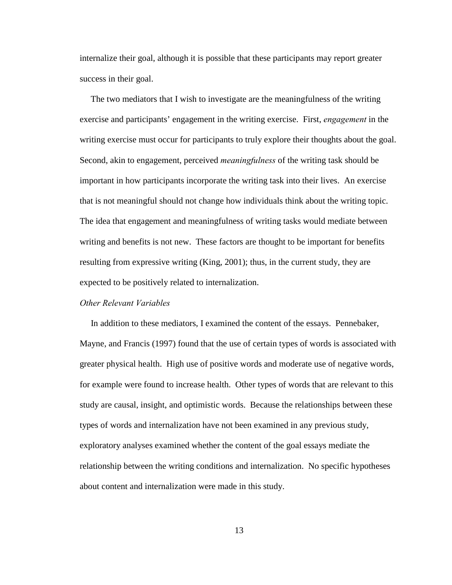internalize their goal, although it is possible that these participants may report greater success in their goal.

 The two mediators that I wish to investigate are the meaningfulness of the writing exercise and participants' engagement in the writing exercise. First, *engagement* in the writing exercise must occur for participants to truly explore their thoughts about the goal. Second, akin to engagement, perceived *meaningfulness* of the writing task should be important in how participants incorporate the writing task into their lives. An exercise that is not meaningful should not change how individuals think about the writing topic. The idea that engagement and meaningfulness of writing tasks would mediate between writing and benefits is not new. These factors are thought to be important for benefits resulting from expressive writing (King, 2001); thus, in the current study, they are expected to be positively related to internalization.

#### *Other Relevant Variables*

 In addition to these mediators, I examined the content of the essays. Pennebaker, Mayne, and Francis (1997) found that the use of certain types of words is associated with greater physical health. High use of positive words and moderate use of negative words, for example were found to increase health. Other types of words that are relevant to this study are causal, insight, and optimistic words. Because the relationships between these types of words and internalization have not been examined in any previous study, exploratory analyses examined whether the content of the goal essays mediate the relationship between the writing conditions and internalization. No specific hypotheses about content and internalization were made in this study.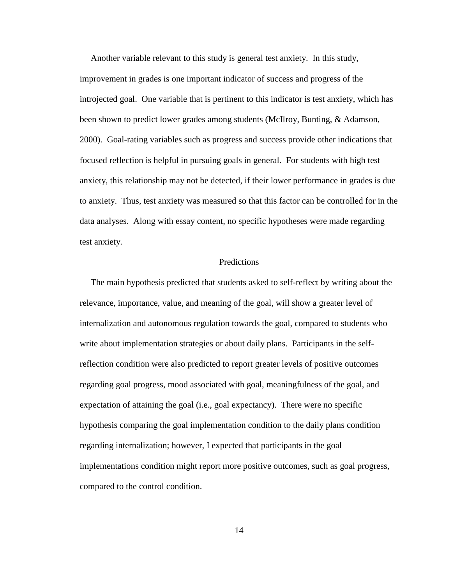Another variable relevant to this study is general test anxiety. In this study, improvement in grades is one important indicator of success and progress of the introjected goal. One variable that is pertinent to this indicator is test anxiety, which has been shown to predict lower grades among students (McIlroy, Bunting, & Adamson, 2000). Goal-rating variables such as progress and success provide other indications that focused reflection is helpful in pursuing goals in general. For students with high test anxiety, this relationship may not be detected, if their lower performance in grades is due to anxiety. Thus, test anxiety was measured so that this factor can be controlled for in the data analyses. Along with essay content, no specific hypotheses were made regarding test anxiety.

#### Predictions

 The main hypothesis predicted that students asked to self-reflect by writing about the relevance, importance, value, and meaning of the goal, will show a greater level of internalization and autonomous regulation towards the goal, compared to students who write about implementation strategies or about daily plans. Participants in the selfreflection condition were also predicted to report greater levels of positive outcomes regarding goal progress, mood associated with goal, meaningfulness of the goal, and expectation of attaining the goal (i.e., goal expectancy). There were no specific hypothesis comparing the goal implementation condition to the daily plans condition regarding internalization; however, I expected that participants in the goal implementations condition might report more positive outcomes, such as goal progress, compared to the control condition.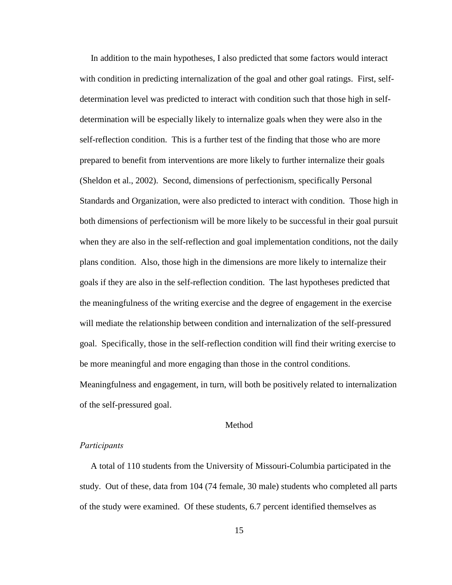In addition to the main hypotheses, I also predicted that some factors would interact with condition in predicting internalization of the goal and other goal ratings. First, selfdetermination level was predicted to interact with condition such that those high in selfdetermination will be especially likely to internalize goals when they were also in the self-reflection condition. This is a further test of the finding that those who are more prepared to benefit from interventions are more likely to further internalize their goals (Sheldon et al., 2002). Second, dimensions of perfectionism, specifically Personal Standards and Organization, were also predicted to interact with condition. Those high in both dimensions of perfectionism will be more likely to be successful in their goal pursuit when they are also in the self-reflection and goal implementation conditions, not the daily plans condition. Also, those high in the dimensions are more likely to internalize their goals if they are also in the self-reflection condition. The last hypotheses predicted that the meaningfulness of the writing exercise and the degree of engagement in the exercise will mediate the relationship between condition and internalization of the self-pressured goal. Specifically, those in the self-reflection condition will find their writing exercise to be more meaningful and more engaging than those in the control conditions. Meaningfulness and engagement, in turn, will both be positively related to internalization of the self-pressured goal.

## Method

#### *Participants*

 A total of 110 students from the University of Missouri-Columbia participated in the study. Out of these, data from 104 (74 female, 30 male) students who completed all parts of the study were examined. Of these students, 6.7 percent identified themselves as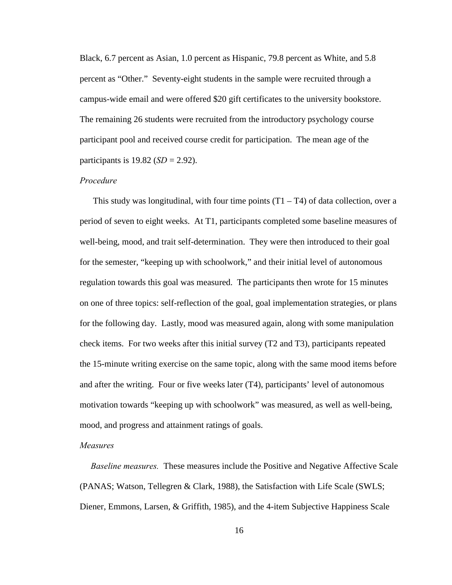Black, 6.7 percent as Asian, 1.0 percent as Hispanic, 79.8 percent as White, and 5.8 percent as "Other." Seventy-eight students in the sample were recruited through a campus-wide email and were offered \$20 gift certificates to the university bookstore. The remaining 26 students were recruited from the introductory psychology course participant pool and received course credit for participation. The mean age of the participants is 19.82 (*SD* = 2.92).

#### *Procedure*

This study was longitudinal, with four time points  $(T1 - T4)$  of data collection, over a period of seven to eight weeks. At T1, participants completed some baseline measures of well-being, mood, and trait self-determination. They were then introduced to their goal for the semester, "keeping up with schoolwork," and their initial level of autonomous regulation towards this goal was measured. The participants then wrote for 15 minutes on one of three topics: self-reflection of the goal, goal implementation strategies, or plans for the following day. Lastly, mood was measured again, along with some manipulation check items. For two weeks after this initial survey (T2 and T3), participants repeated the 15-minute writing exercise on the same topic, along with the same mood items before and after the writing. Four or five weeks later (T4), participants' level of autonomous motivation towards "keeping up with schoolwork" was measured, as well as well-being, mood, and progress and attainment ratings of goals.

#### *Measures*

 *Baseline measures.* These measures include the Positive and Negative Affective Scale (PANAS; Watson, Tellegren & Clark, 1988), the Satisfaction with Life Scale (SWLS; Diener, Emmons, Larsen, & Griffith, 1985), and the 4-item Subjective Happiness Scale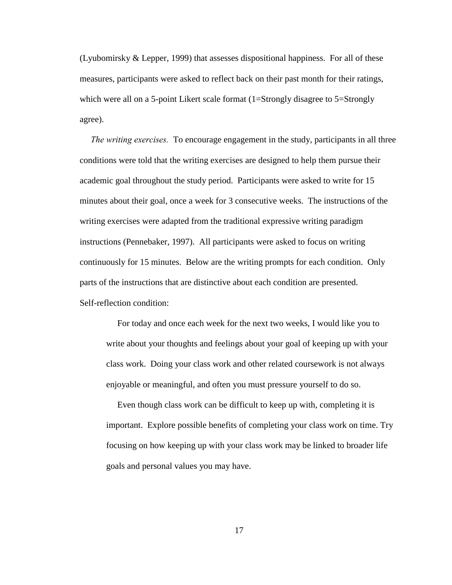(Lyubomirsky & Lepper, 1999) that assesses dispositional happiness. For all of these measures, participants were asked to reflect back on their past month for their ratings, which were all on a 5-point Likert scale format (1=Strongly disagree to 5=Strongly agree).

 *The writing exercises.* To encourage engagement in the study, participants in all three conditions were told that the writing exercises are designed to help them pursue their academic goal throughout the study period. Participants were asked to write for 15 minutes about their goal, once a week for 3 consecutive weeks. The instructions of the writing exercises were adapted from the traditional expressive writing paradigm instructions (Pennebaker, 1997). All participants were asked to focus on writing continuously for 15 minutes. Below are the writing prompts for each condition. Only parts of the instructions that are distinctive about each condition are presented. Self-reflection condition:

 For today and once each week for the next two weeks, I would like you to write about your thoughts and feelings about your goal of keeping up with your class work. Doing your class work and other related coursework is not always enjoyable or meaningful, and often you must pressure yourself to do so.

 Even though class work can be difficult to keep up with, completing it is important. Explore possible benefits of completing your class work on time. Try focusing on how keeping up with your class work may be linked to broader life goals and personal values you may have.

17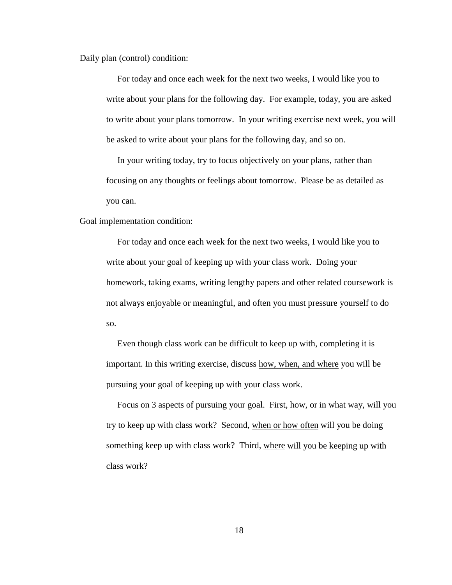Daily plan (control) condition:

For today and once each week for the next two weeks, I would like you to write about your plans for the following day. For example, today, you are asked to write about your plans tomorrow. In your writing exercise next week, you will be asked to write about your plans for the following day, and so on.

 In your writing today, try to focus objectively on your plans, rather than focusing on any thoughts or feelings about tomorrow. Please be as detailed as you can.

Goal implementation condition:

For today and once each week for the next two weeks, I would like you to write about your goal of keeping up with your class work. Doing your homework, taking exams, writing lengthy papers and other related coursework is not always enjoyable or meaningful, and often you must pressure yourself to do so.

 Even though class work can be difficult to keep up with, completing it is important. In this writing exercise, discuss how, when, and where you will be pursuing your goal of keeping up with your class work.

 Focus on 3 aspects of pursuing your goal. First, how, or in what way, will you try to keep up with class work? Second, when or how often will you be doing something keep up with class work? Third, where will you be keeping up with class work?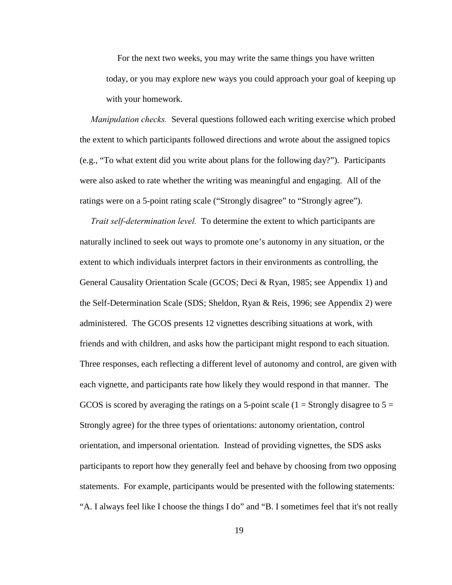For the next two weeks, you may write the same things you have written today, or you may explore new ways you could approach your goal of keeping up with your homework.

 *Manipulation checks.* Several questions followed each writing exercise which probed the extent to which participants followed directions and wrote about the assigned topics (e.g., "To what extent did you write about plans for the following day?"). Participants were also asked to rate whether the writing was meaningful and engaging. All of the ratings were on a 5-point rating scale ("Strongly disagree" to "Strongly agree").

 *Trait self-determination level.* To determine the extent to which participants are naturally inclined to seek out ways to promote one's autonomy in any situation, or the extent to which individuals interpret factors in their environments as controlling, the General Causality Orientation Scale (GCOS; Deci & Ryan, 1985; see Appendix 1) and the Self-Determination Scale (SDS; Sheldon, Ryan & Reis, 1996; see Appendix 2) were administered. The GCOS presents 12 vignettes describing situations at work, with friends and with children, and asks how the participant might respond to each situation. Three responses, each reflecting a different level of autonomy and control, are given with each vignette, and participants rate how likely they would respond in that manner. The GCOS is scored by averaging the ratings on a 5-point scale  $(1 =$  Strongly disagree to  $5 =$ Strongly agree) for the three types of orientations: autonomy orientation, control orientation, and impersonal orientation. Instead of providing vignettes, the SDS asks participants to report how they generally feel and behave by choosing from two opposing statements. For example, participants would be presented with the following statements: "A. I always feel like I choose the things I do" and "B. I sometimes feel that it's not really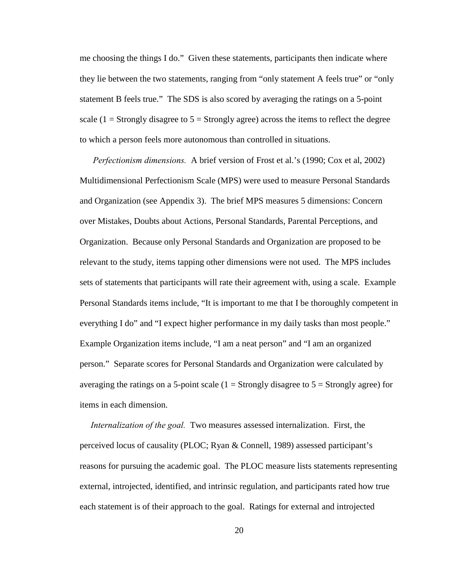me choosing the things I do." Given these statements, participants then indicate where they lie between the two statements, ranging from "only statement A feels true" or "only statement B feels true." The SDS is also scored by averaging the ratings on a 5-point scale (1 = Strongly disagree to  $5 =$  Strongly agree) across the items to reflect the degree to which a person feels more autonomous than controlled in situations.

 *Perfectionism dimensions.* A brief version of Frost et al.'s (1990; Cox et al, 2002) Multidimensional Perfectionism Scale (MPS) were used to measure Personal Standards and Organization (see Appendix 3). The brief MPS measures 5 dimensions: Concern over Mistakes, Doubts about Actions, Personal Standards, Parental Perceptions, and Organization. Because only Personal Standards and Organization are proposed to be relevant to the study, items tapping other dimensions were not used. The MPS includes sets of statements that participants will rate their agreement with, using a scale. Example Personal Standards items include, "It is important to me that I be thoroughly competent in everything I do" and "I expect higher performance in my daily tasks than most people." Example Organization items include, "I am a neat person" and "I am an organized person." Separate scores for Personal Standards and Organization were calculated by averaging the ratings on a 5-point scale  $(1 = \text{Strongly disagree to } 5 = \text{Strongly agree})$  for items in each dimension.

 *Internalization of the goal.* Two measures assessed internalization. First, the perceived locus of causality (PLOC; Ryan & Connell, 1989) assessed participant's reasons for pursuing the academic goal. The PLOC measure lists statements representing external, introjected, identified, and intrinsic regulation, and participants rated how true each statement is of their approach to the goal. Ratings for external and introjected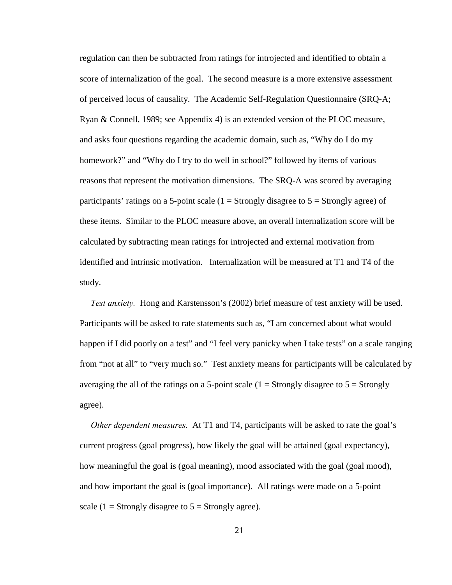regulation can then be subtracted from ratings for introjected and identified to obtain a score of internalization of the goal. The second measure is a more extensive assessment of perceived locus of causality. The Academic Self-Regulation Questionnaire (SRQ-A; Ryan & Connell, 1989; see Appendix 4) is an extended version of the PLOC measure, and asks four questions regarding the academic domain, such as, "Why do I do my homework?" and "Why do I try to do well in school?" followed by items of various reasons that represent the motivation dimensions. The SRQ-A was scored by averaging participants' ratings on a 5-point scale  $(1 = \text{Strongly disagree to } 5 = \text{Strongly agree})$  of these items. Similar to the PLOC measure above, an overall internalization score will be calculated by subtracting mean ratings for introjected and external motivation from identified and intrinsic motivation. Internalization will be measured at T1 and T4 of the study.

 *Test anxiety.* Hong and Karstensson's (2002) brief measure of test anxiety will be used. Participants will be asked to rate statements such as, "I am concerned about what would happen if I did poorly on a test" and "I feel very panicky when I take tests" on a scale ranging from "not at all" to "very much so." Test anxiety means for participants will be calculated by averaging the all of the ratings on a 5-point scale  $(1 = \text{Strongly disagree to } 5 = \text{Strongly}$ agree).

 *Other dependent measures.* At T1 and T4, participants will be asked to rate the goal's current progress (goal progress), how likely the goal will be attained (goal expectancy), how meaningful the goal is (goal meaning), mood associated with the goal (goal mood), and how important the goal is (goal importance). All ratings were made on a 5-point scale (1 = Strongly disagree to  $5 =$  Strongly agree).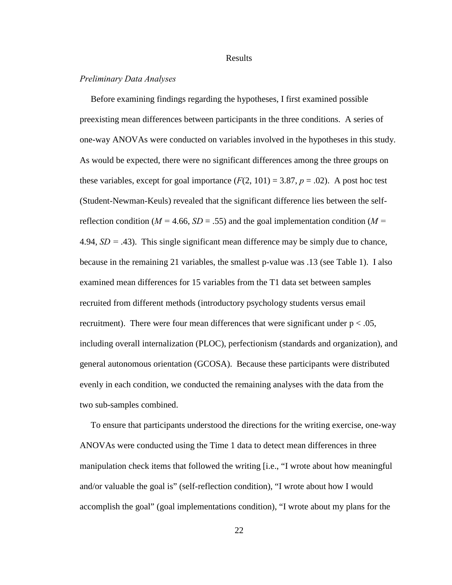#### Results

## *Preliminary Data Analyses*

 Before examining findings regarding the hypotheses, I first examined possible preexisting mean differences between participants in the three conditions. A series of one-way ANOVAs were conducted on variables involved in the hypotheses in this study. As would be expected, there were no significant differences among the three groups on these variables, except for goal importance  $(F(2, 101) = 3.87, p = .02)$ . A post hoc test (Student-Newman-Keuls) revealed that the significant difference lies between the selfreflection condition ( $M = 4.66$ ,  $SD = .55$ ) and the goal implementation condition ( $M =$ 4.94,  $SD = .43$ ). This single significant mean difference may be simply due to chance, because in the remaining 21 variables, the smallest p-value was .13 (see Table 1). I also examined mean differences for 15 variables from the T1 data set between samples recruited from different methods (introductory psychology students versus email recruitment). There were four mean differences that were significant under  $p < .05$ , including overall internalization (PLOC), perfectionism (standards and organization), and general autonomous orientation (GCOSA). Because these participants were distributed evenly in each condition, we conducted the remaining analyses with the data from the two sub-samples combined.

 To ensure that participants understood the directions for the writing exercise, one-way ANOVAs were conducted using the Time 1 data to detect mean differences in three manipulation check items that followed the writing [i.e., "I wrote about how meaningful and/or valuable the goal is" (self-reflection condition), "I wrote about how I would accomplish the goal" (goal implementations condition), "I wrote about my plans for the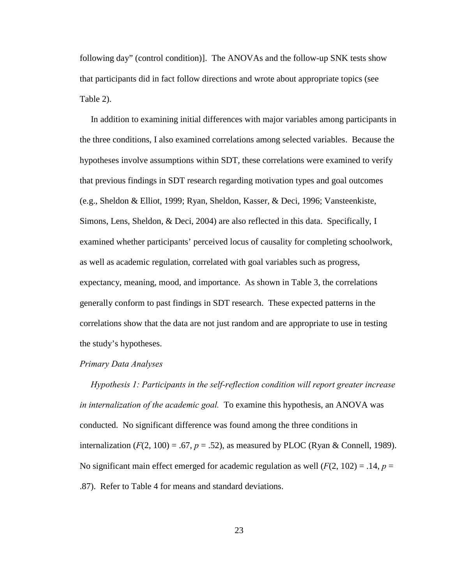following day" (control condition)]. The ANOVAs and the follow-up SNK tests show that participants did in fact follow directions and wrote about appropriate topics (see Table 2).

 In addition to examining initial differences with major variables among participants in the three conditions, I also examined correlations among selected variables. Because the hypotheses involve assumptions within SDT, these correlations were examined to verify that previous findings in SDT research regarding motivation types and goal outcomes (e.g., Sheldon & Elliot, 1999; Ryan, Sheldon, Kasser, & Deci, 1996; Vansteenkiste, Simons, Lens, Sheldon, & Deci, 2004) are also reflected in this data. Specifically, I examined whether participants' perceived locus of causality for completing schoolwork, as well as academic regulation, correlated with goal variables such as progress, expectancy, meaning, mood, and importance. As shown in Table 3, the correlations generally conform to past findings in SDT research. These expected patterns in the correlations show that the data are not just random and are appropriate to use in testing the study's hypotheses.

#### *Primary Data Analyses*

 *Hypothesis 1: Participants in the self-reflection condition will report greater increase in internalization of the academic goal.* To examine this hypothesis, an ANOVA was conducted. No significant difference was found among the three conditions in internalization ( $F(2, 100) = .67$ ,  $p = .52$ ), as measured by PLOC (Ryan & Connell, 1989). No significant main effect emerged for academic regulation as well  $(F(2, 102) = .14, p =$ .87). Refer to Table 4 for means and standard deviations.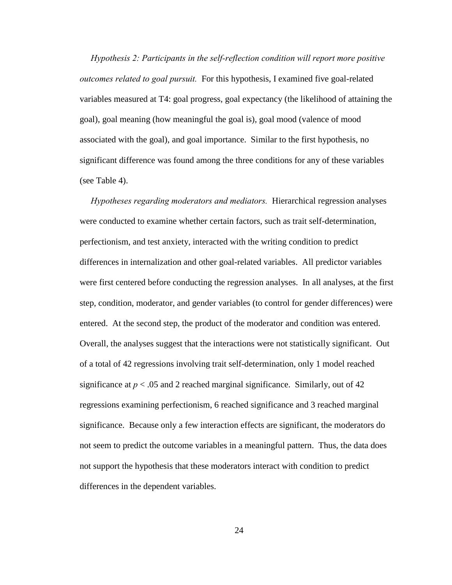*Hypothesis 2: Participants in the self-reflection condition will report more positive outcomes related to goal pursuit.* For this hypothesis, I examined five goal-related variables measured at T4: goal progress, goal expectancy (the likelihood of attaining the goal), goal meaning (how meaningful the goal is), goal mood (valence of mood associated with the goal), and goal importance. Similar to the first hypothesis, no significant difference was found among the three conditions for any of these variables (see Table 4).

 *Hypotheses regarding moderators and mediators.* Hierarchical regression analyses were conducted to examine whether certain factors, such as trait self-determination, perfectionism, and test anxiety, interacted with the writing condition to predict differences in internalization and other goal-related variables. All predictor variables were first centered before conducting the regression analyses. In all analyses, at the first step, condition, moderator, and gender variables (to control for gender differences) were entered. At the second step, the product of the moderator and condition was entered. Overall, the analyses suggest that the interactions were not statistically significant. Out of a total of 42 regressions involving trait self-determination, only 1 model reached significance at  $p < .05$  and 2 reached marginal significance. Similarly, out of 42 regressions examining perfectionism, 6 reached significance and 3 reached marginal significance. Because only a few interaction effects are significant, the moderators do not seem to predict the outcome variables in a meaningful pattern. Thus, the data does not support the hypothesis that these moderators interact with condition to predict differences in the dependent variables.

24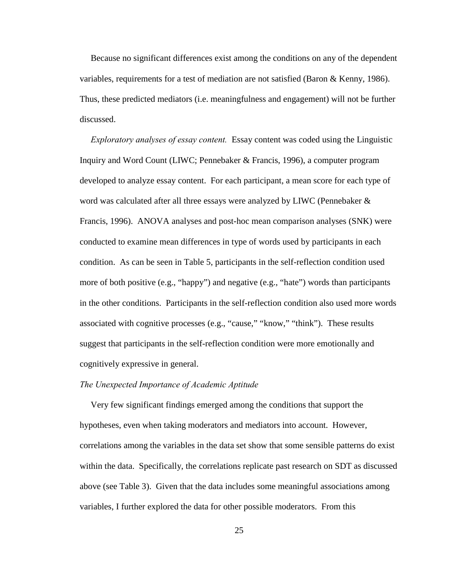Because no significant differences exist among the conditions on any of the dependent variables, requirements for a test of mediation are not satisfied (Baron & Kenny, 1986). Thus, these predicted mediators (i.e. meaningfulness and engagement) will not be further discussed.

 *Exploratory analyses of essay content.* Essay content was coded using the Linguistic Inquiry and Word Count (LIWC; Pennebaker & Francis, 1996), a computer program developed to analyze essay content. For each participant, a mean score for each type of word was calculated after all three essays were analyzed by LIWC (Pennebaker & Francis, 1996). ANOVA analyses and post-hoc mean comparison analyses (SNK) were conducted to examine mean differences in type of words used by participants in each condition. As can be seen in Table 5, participants in the self-reflection condition used more of both positive (e.g., "happy") and negative (e.g., "hate") words than participants in the other conditions. Participants in the self-reflection condition also used more words associated with cognitive processes (e.g., "cause," "know," "think"). These results suggest that participants in the self-reflection condition were more emotionally and cognitively expressive in general.

#### *The Unexpected Importance of Academic Aptitude*

 Very few significant findings emerged among the conditions that support the hypotheses, even when taking moderators and mediators into account. However, correlations among the variables in the data set show that some sensible patterns do exist within the data. Specifically, the correlations replicate past research on SDT as discussed above (see Table 3). Given that the data includes some meaningful associations among variables, I further explored the data for other possible moderators. From this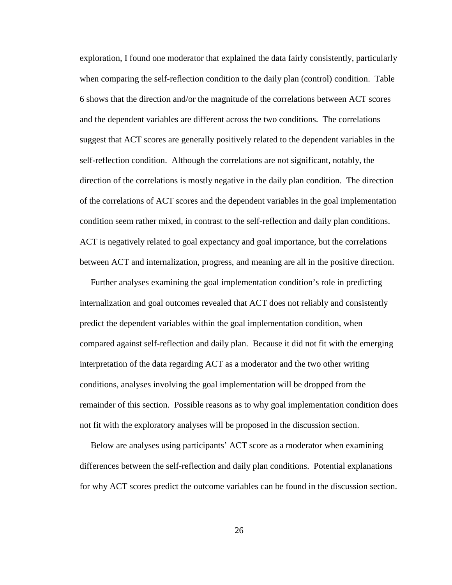exploration, I found one moderator that explained the data fairly consistently, particularly when comparing the self-reflection condition to the daily plan (control) condition. Table 6 shows that the direction and/or the magnitude of the correlations between ACT scores and the dependent variables are different across the two conditions. The correlations suggest that ACT scores are generally positively related to the dependent variables in the self-reflection condition. Although the correlations are not significant, notably, the direction of the correlations is mostly negative in the daily plan condition. The direction of the correlations of ACT scores and the dependent variables in the goal implementation condition seem rather mixed, in contrast to the self-reflection and daily plan conditions. ACT is negatively related to goal expectancy and goal importance, but the correlations between ACT and internalization, progress, and meaning are all in the positive direction.

 Further analyses examining the goal implementation condition's role in predicting internalization and goal outcomes revealed that ACT does not reliably and consistently predict the dependent variables within the goal implementation condition, when compared against self-reflection and daily plan. Because it did not fit with the emerging interpretation of the data regarding ACT as a moderator and the two other writing conditions, analyses involving the goal implementation will be dropped from the remainder of this section. Possible reasons as to why goal implementation condition does not fit with the exploratory analyses will be proposed in the discussion section.

 Below are analyses using participants' ACT score as a moderator when examining differences between the self-reflection and daily plan conditions. Potential explanations for why ACT scores predict the outcome variables can be found in the discussion section.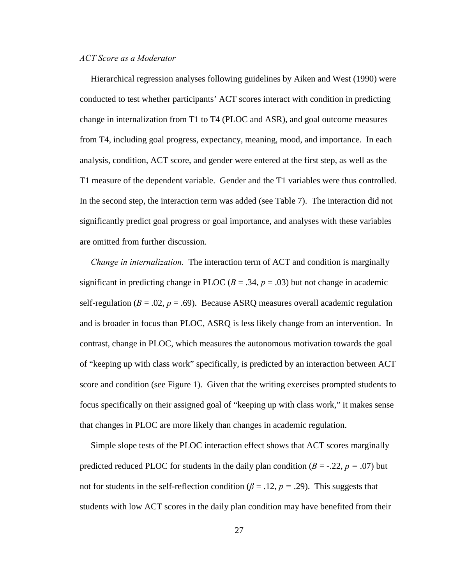### *ACT Score as a Moderator*

 Hierarchical regression analyses following guidelines by Aiken and West (1990) were conducted to test whether participants' ACT scores interact with condition in predicting change in internalization from T1 to T4 (PLOC and ASR), and goal outcome measures from T4, including goal progress, expectancy, meaning, mood, and importance. In each analysis, condition, ACT score, and gender were entered at the first step, as well as the T1 measure of the dependent variable. Gender and the T1 variables were thus controlled. In the second step, the interaction term was added (see Table 7). The interaction did not significantly predict goal progress or goal importance, and analyses with these variables are omitted from further discussion.

 *Change in internalization.* The interaction term of ACT and condition is marginally significant in predicting change in PLOC  $(B = .34, p = .03)$  but not change in academic self-regulation ( $B = .02$ ,  $p = .69$ ). Because ASRQ measures overall academic regulation and is broader in focus than PLOC, ASRQ is less likely change from an intervention. In contrast, change in PLOC, which measures the autonomous motivation towards the goal of "keeping up with class work" specifically, is predicted by an interaction between ACT score and condition (see Figure 1). Given that the writing exercises prompted students to focus specifically on their assigned goal of "keeping up with class work," it makes sense that changes in PLOC are more likely than changes in academic regulation.

 Simple slope tests of the PLOC interaction effect shows that ACT scores marginally predicted reduced PLOC for students in the daily plan condition  $(B = -0.22, p = 0.07)$  but not for students in the self-reflection condition ( $\beta$  = .12,  $p$  = .29). This suggests that students with low ACT scores in the daily plan condition may have benefited from their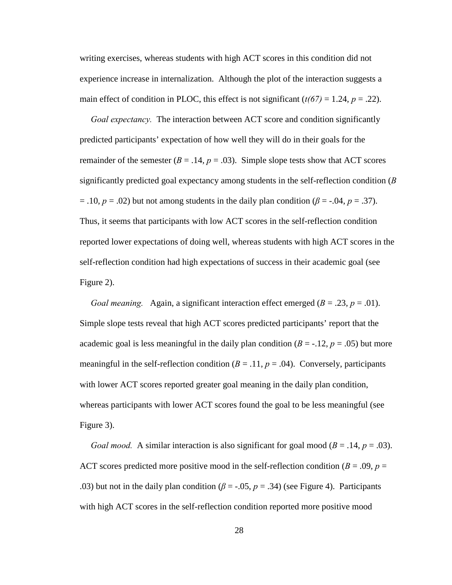writing exercises, whereas students with high ACT scores in this condition did not experience increase in internalization. Although the plot of the interaction suggests a main effect of condition in PLOC, this effect is not significant  $(t/67) = 1.24$ ,  $p = .22$ ).

 *Goal expectancy.* The interaction between ACT score and condition significantly predicted participants' expectation of how well they will do in their goals for the remainder of the semester  $(B = .14, p = .03)$ . Simple slope tests show that ACT scores significantly predicted goal expectancy among students in the self-reflection condition (*B*  $=$  .10,  $p = .02$ ) but not among students in the daily plan condition ( $\beta = -.04$ ,  $p = .37$ ). Thus, it seems that participants with low ACT scores in the self-reflection condition reported lower expectations of doing well, whereas students with high ACT scores in the self-reflection condition had high expectations of success in their academic goal (see Figure 2).

*Goal meaning.* Again, a significant interaction effect emerged  $(B = .23, p = .01)$ . Simple slope tests reveal that high ACT scores predicted participants' report that the academic goal is less meaningful in the daily plan condition  $(B = -12, p = .05)$  but more meaningful in the self-reflection condition  $(B = .11, p = .04)$ . Conversely, participants with lower ACT scores reported greater goal meaning in the daily plan condition, whereas participants with lower ACT scores found the goal to be less meaningful (see Figure 3).

*Goal mood.* A similar interaction is also significant for goal mood ( $B = .14$ ,  $p = .03$ ). ACT scores predicted more positive mood in the self-reflection condition ( $B = .09$ ,  $p =$ .03) but not in the daily plan condition ( $\beta$  = -.05,  $p = .34$ ) (see Figure 4). Participants with high ACT scores in the self-reflection condition reported more positive mood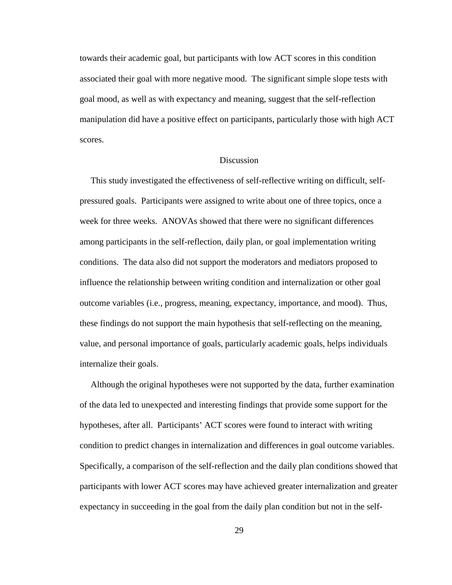towards their academic goal, but participants with low ACT scores in this condition associated their goal with more negative mood. The significant simple slope tests with goal mood, as well as with expectancy and meaning, suggest that the self-reflection manipulation did have a positive effect on participants, particularly those with high ACT scores.

#### **Discussion**

 This study investigated the effectiveness of self-reflective writing on difficult, selfpressured goals. Participants were assigned to write about one of three topics, once a week for three weeks. ANOVAs showed that there were no significant differences among participants in the self-reflection, daily plan, or goal implementation writing conditions. The data also did not support the moderators and mediators proposed to influence the relationship between writing condition and internalization or other goal outcome variables (i.e., progress, meaning, expectancy, importance, and mood). Thus, these findings do not support the main hypothesis that self-reflecting on the meaning, value, and personal importance of goals, particularly academic goals, helps individuals internalize their goals.

 Although the original hypotheses were not supported by the data, further examination of the data led to unexpected and interesting findings that provide some support for the hypotheses, after all. Participants' ACT scores were found to interact with writing condition to predict changes in internalization and differences in goal outcome variables. Specifically, a comparison of the self-reflection and the daily plan conditions showed that participants with lower ACT scores may have achieved greater internalization and greater expectancy in succeeding in the goal from the daily plan condition but not in the self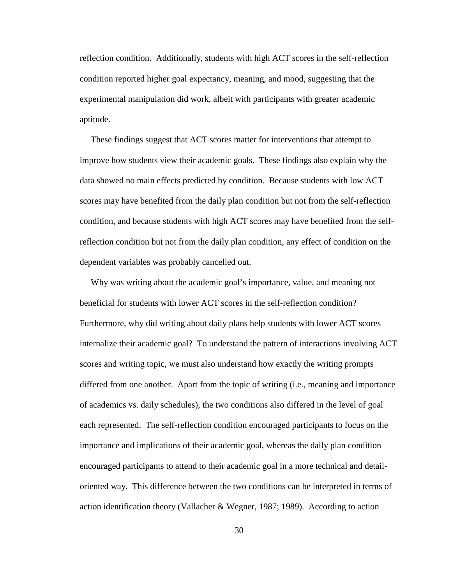reflection condition. Additionally, students with high ACT scores in the self-reflection condition reported higher goal expectancy, meaning, and mood, suggesting that the experimental manipulation did work, albeit with participants with greater academic aptitude.

 These findings suggest that ACT scores matter for interventions that attempt to improve how students view their academic goals. These findings also explain why the data showed no main effects predicted by condition. Because students with low ACT scores may have benefited from the daily plan condition but not from the self-reflection condition, and because students with high ACT scores may have benefited from the selfreflection condition but not from the daily plan condition, any effect of condition on the dependent variables was probably cancelled out.

 Why was writing about the academic goal's importance, value, and meaning not beneficial for students with lower ACT scores in the self-reflection condition? Furthermore, why did writing about daily plans help students with lower ACT scores internalize their academic goal? To understand the pattern of interactions involving ACT scores and writing topic, we must also understand how exactly the writing prompts differed from one another. Apart from the topic of writing (i.e., meaning and importance of academics vs. daily schedules), the two conditions also differed in the level of goal each represented. The self-reflection condition encouraged participants to focus on the importance and implications of their academic goal, whereas the daily plan condition encouraged participants to attend to their academic goal in a more technical and detailoriented way. This difference between the two conditions can be interpreted in terms of action identification theory (Vallacher & Wegner, 1987; 1989). According to action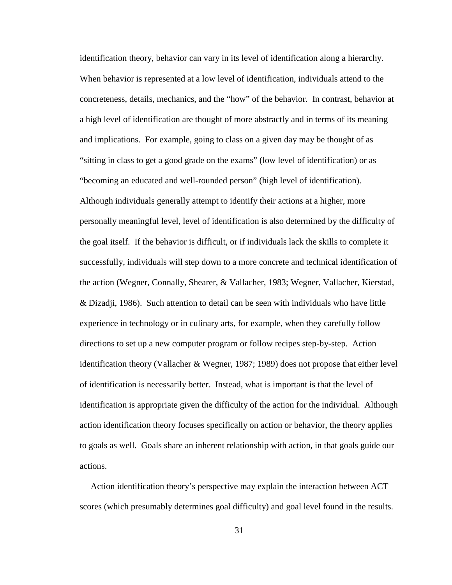identification theory, behavior can vary in its level of identification along a hierarchy. When behavior is represented at a low level of identification, individuals attend to the concreteness, details, mechanics, and the "how" of the behavior. In contrast, behavior at a high level of identification are thought of more abstractly and in terms of its meaning and implications. For example, going to class on a given day may be thought of as "sitting in class to get a good grade on the exams" (low level of identification) or as "becoming an educated and well-rounded person" (high level of identification). Although individuals generally attempt to identify their actions at a higher, more personally meaningful level, level of identification is also determined by the difficulty of the goal itself. If the behavior is difficult, or if individuals lack the skills to complete it successfully, individuals will step down to a more concrete and technical identification of the action (Wegner, Connally, Shearer, & Vallacher, 1983; Wegner, Vallacher, Kierstad, & Dizadji, 1986). Such attention to detail can be seen with individuals who have little experience in technology or in culinary arts, for example, when they carefully follow directions to set up a new computer program or follow recipes step-by-step. Action identification theory (Vallacher & Wegner, 1987; 1989) does not propose that either level of identification is necessarily better. Instead, what is important is that the level of identification is appropriate given the difficulty of the action for the individual. Although action identification theory focuses specifically on action or behavior, the theory applies to goals as well. Goals share an inherent relationship with action, in that goals guide our actions.

 Action identification theory's perspective may explain the interaction between ACT scores (which presumably determines goal difficulty) and goal level found in the results.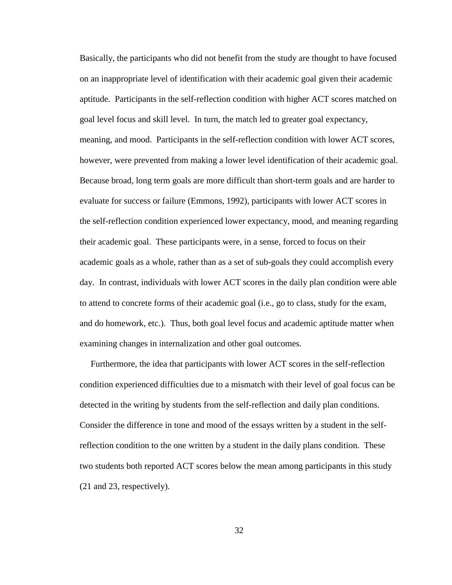Basically, the participants who did not benefit from the study are thought to have focused on an inappropriate level of identification with their academic goal given their academic aptitude. Participants in the self-reflection condition with higher ACT scores matched on goal level focus and skill level. In turn, the match led to greater goal expectancy, meaning, and mood. Participants in the self-reflection condition with lower ACT scores, however, were prevented from making a lower level identification of their academic goal. Because broad, long term goals are more difficult than short-term goals and are harder to evaluate for success or failure (Emmons, 1992), participants with lower ACT scores in the self-reflection condition experienced lower expectancy, mood, and meaning regarding their academic goal. These participants were, in a sense, forced to focus on their academic goals as a whole, rather than as a set of sub-goals they could accomplish every day. In contrast, individuals with lower ACT scores in the daily plan condition were able to attend to concrete forms of their academic goal (i.e., go to class, study for the exam, and do homework, etc.). Thus, both goal level focus and academic aptitude matter when examining changes in internalization and other goal outcomes.

 Furthermore, the idea that participants with lower ACT scores in the self-reflection condition experienced difficulties due to a mismatch with their level of goal focus can be detected in the writing by students from the self-reflection and daily plan conditions. Consider the difference in tone and mood of the essays written by a student in the selfreflection condition to the one written by a student in the daily plans condition. These two students both reported ACT scores below the mean among participants in this study (21 and 23, respectively).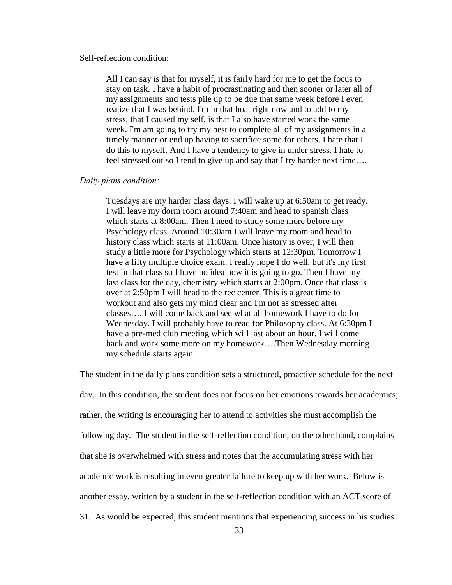#### Self-reflection condition:

All I can say is that for myself, it is fairly hard for me to get the focus to stay on task. I have a habit of procrastinating and then sooner or later all of my assignments and tests pile up to be due that same week before I even realize that I was behind. I'm in that boat right now and to add to my stress, that I caused my self, is that I also have started work the same week. I'm am going to try my best to complete all of my assignments in a timely manner or end up having to sacrifice some for others. I hate that I do this to myself. And I have a tendency to give in under stress. I hate to feel stressed out so I tend to give up and say that I try harder next time….

## *Daily plans condition:*

Tuesdays are my harder class days. I will wake up at 6:50am to get ready. I will leave my dorm room around 7:40am and head to spanish class which starts at 8:00am. Then I need to study some more before my Psychology class. Around 10:30am I will leave my room and head to history class which starts at 11:00am. Once history is over, I will then study a little more for Psychology which starts at 12:30pm. Tomorrow I have a fifty multiple choice exam. I really hope I do well, but it's my first test in that class so I have no idea how it is going to go. Then I have my last class for the day, chemistry which starts at 2:00pm. Once that class is over at 2:50pm I will head to the rec center. This is a great time to workout and also gets my mind clear and I'm not as stressed after classes…. I will come back and see what all homework I have to do for Wednesday. I will probably have to read for Philosophy class. At 6:30pm I have a pre-med club meeting which will last about an hour. I will come back and work some more on my homework….Then Wednesday morning my schedule starts again.

The student in the daily plans condition sets a structured, proactive schedule for the next day. In this condition, the student does not focus on her emotions towards her academics; rather, the writing is encouraging her to attend to activities she must accomplish the following day. The student in the self-reflection condition, on the other hand, complains that she is overwhelmed with stress and notes that the accumulating stress with her academic work is resulting in even greater failure to keep up with her work. Below is another essay, written by a student in the self-reflection condition with an ACT score of 31. As would be expected, this student mentions that experiencing success in his studies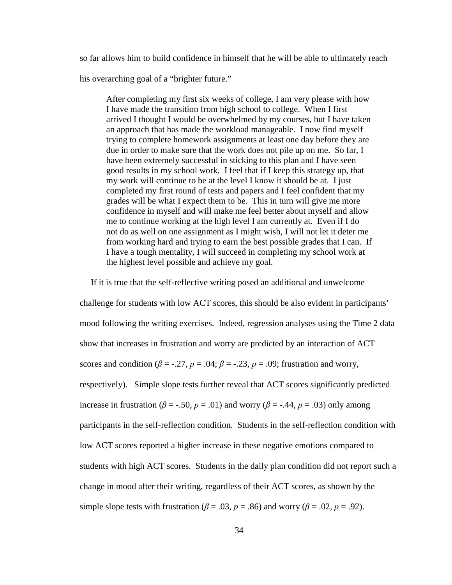so far allows him to build confidence in himself that he will be able to ultimately reach

his overarching goal of a "brighter future."

After completing my first six weeks of college, I am very please with how I have made the transition from high school to college. When I first arrived I thought I would be overwhelmed by my courses, but I have taken an approach that has made the workload manageable. I now find myself trying to complete homework assignments at least one day before they are due in order to make sure that the work does not pile up on me. So far, I have been extremely successful in sticking to this plan and I have seen good results in my school work. I feel that if I keep this strategy up, that my work will continue to be at the level I know it should be at. I just completed my first round of tests and papers and I feel confident that my grades will be what I expect them to be. This in turn will give me more confidence in myself and will make me feel better about myself and allow me to continue working at the high level I am currently at. Even if I do not do as well on one assignment as I might wish, I will not let it deter me from working hard and trying to earn the best possible grades that I can. If I have a tough mentality, I will succeed in completing my school work at the highest level possible and achieve my goal.

 If it is true that the self-reflective writing posed an additional and unwelcome challenge for students with low ACT scores, this should be also evident in participants' mood following the writing exercises. Indeed, regression analyses using the Time 2 data show that increases in frustration and worry are predicted by an interaction of ACT scores and condition ( $\beta$  = -.27,  $p$  = .04;  $\beta$  = -.23,  $p$  = .09; frustration and worry, respectively). Simple slope tests further reveal that ACT scores significantly predicted increase in frustration ( $\beta$  = -.50,  $p$  = .01) and worry ( $\beta$  = -.44,  $p$  = .03) only among participants in the self-reflection condition. Students in the self-reflection condition with low ACT scores reported a higher increase in these negative emotions compared to students with high ACT scores. Students in the daily plan condition did not report such a change in mood after their writing, regardless of their ACT scores, as shown by the simple slope tests with frustration ( $\beta$  = .03,  $p$  = .86) and worry ( $\beta$  = .02,  $p$  = .92).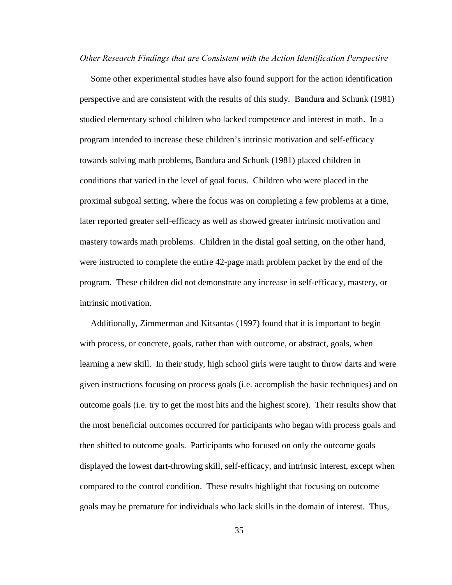*Other Research Findings that are Consistent with the Action Identification Perspective* 

 Some other experimental studies have also found support for the action identification perspective and are consistent with the results of this study. Bandura and Schunk (1981) studied elementary school children who lacked competence and interest in math. In a program intended to increase these children's intrinsic motivation and self-efficacy towards solving math problems, Bandura and Schunk (1981) placed children in conditions that varied in the level of goal focus. Children who were placed in the proximal subgoal setting, where the focus was on completing a few problems at a time, later reported greater self-efficacy as well as showed greater intrinsic motivation and mastery towards math problems. Children in the distal goal setting, on the other hand, were instructed to complete the entire 42-page math problem packet by the end of the program. These children did not demonstrate any increase in self-efficacy, mastery, or intrinsic motivation.

 Additionally, Zimmerman and Kitsantas (1997) found that it is important to begin with process, or concrete, goals, rather than with outcome, or abstract, goals, when learning a new skill. In their study, high school girls were taught to throw darts and were given instructions focusing on process goals (i.e. accomplish the basic techniques) and on outcome goals (i.e. try to get the most hits and the highest score). Their results show that the most beneficial outcomes occurred for participants who began with process goals and then shifted to outcome goals. Participants who focused on only the outcome goals displayed the lowest dart-throwing skill, self-efficacy, and intrinsic interest, except when compared to the control condition. These results highlight that focusing on outcome goals may be premature for individuals who lack skills in the domain of interest. Thus,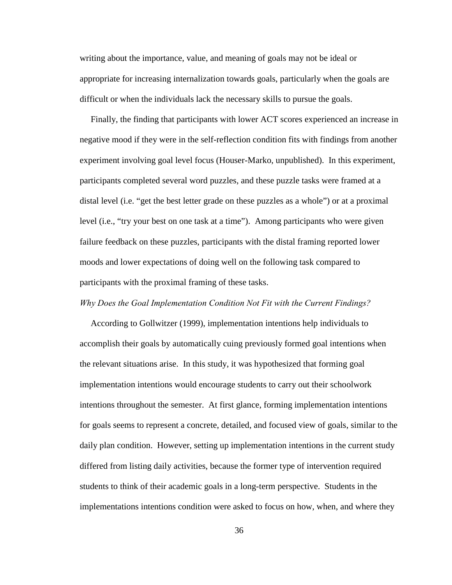writing about the importance, value, and meaning of goals may not be ideal or appropriate for increasing internalization towards goals, particularly when the goals are difficult or when the individuals lack the necessary skills to pursue the goals.

 Finally, the finding that participants with lower ACT scores experienced an increase in negative mood if they were in the self-reflection condition fits with findings from another experiment involving goal level focus (Houser-Marko, unpublished). In this experiment, participants completed several word puzzles, and these puzzle tasks were framed at a distal level (i.e. "get the best letter grade on these puzzles as a whole") or at a proximal level (i.e., "try your best on one task at a time"). Among participants who were given failure feedback on these puzzles, participants with the distal framing reported lower moods and lower expectations of doing well on the following task compared to participants with the proximal framing of these tasks.

#### *Why Does the Goal Implementation Condition Not Fit with the Current Findings?*

 According to Gollwitzer (1999), implementation intentions help individuals to accomplish their goals by automatically cuing previously formed goal intentions when the relevant situations arise. In this study, it was hypothesized that forming goal implementation intentions would encourage students to carry out their schoolwork intentions throughout the semester. At first glance, forming implementation intentions for goals seems to represent a concrete, detailed, and focused view of goals, similar to the daily plan condition. However, setting up implementation intentions in the current study differed from listing daily activities, because the former type of intervention required students to think of their academic goals in a long-term perspective. Students in the implementations intentions condition were asked to focus on how, when, and where they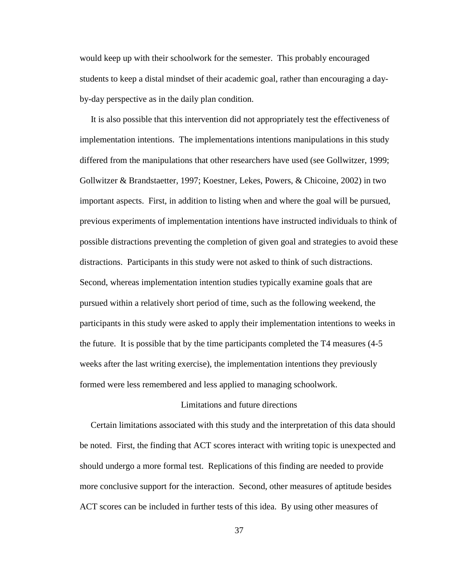would keep up with their schoolwork for the semester. This probably encouraged students to keep a distal mindset of their academic goal, rather than encouraging a dayby-day perspective as in the daily plan condition.

 It is also possible that this intervention did not appropriately test the effectiveness of implementation intentions. The implementations intentions manipulations in this study differed from the manipulations that other researchers have used (see Gollwitzer, 1999; Gollwitzer & Brandstaetter, 1997; Koestner, Lekes, Powers, & Chicoine, 2002) in two important aspects. First, in addition to listing when and where the goal will be pursued, previous experiments of implementation intentions have instructed individuals to think of possible distractions preventing the completion of given goal and strategies to avoid these distractions. Participants in this study were not asked to think of such distractions. Second, whereas implementation intention studies typically examine goals that are pursued within a relatively short period of time, such as the following weekend, the participants in this study were asked to apply their implementation intentions to weeks in the future. It is possible that by the time participants completed the T4 measures (4-5 weeks after the last writing exercise), the implementation intentions they previously formed were less remembered and less applied to managing schoolwork.

### Limitations and future directions

 Certain limitations associated with this study and the interpretation of this data should be noted. First, the finding that ACT scores interact with writing topic is unexpected and should undergo a more formal test. Replications of this finding are needed to provide more conclusive support for the interaction. Second, other measures of aptitude besides ACT scores can be included in further tests of this idea. By using other measures of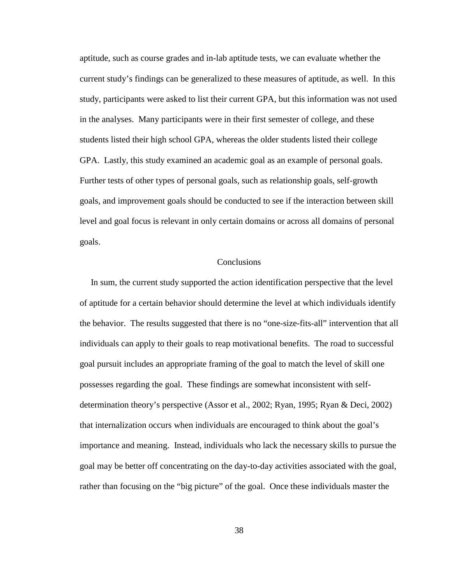aptitude, such as course grades and in-lab aptitude tests, we can evaluate whether the current study's findings can be generalized to these measures of aptitude, as well. In this study, participants were asked to list their current GPA, but this information was not used in the analyses. Many participants were in their first semester of college, and these students listed their high school GPA, whereas the older students listed their college GPA. Lastly, this study examined an academic goal as an example of personal goals. Further tests of other types of personal goals, such as relationship goals, self-growth goals, and improvement goals should be conducted to see if the interaction between skill level and goal focus is relevant in only certain domains or across all domains of personal goals.

#### **Conclusions**

 In sum, the current study supported the action identification perspective that the level of aptitude for a certain behavior should determine the level at which individuals identify the behavior. The results suggested that there is no "one-size-fits-all" intervention that all individuals can apply to their goals to reap motivational benefits. The road to successful goal pursuit includes an appropriate framing of the goal to match the level of skill one possesses regarding the goal. These findings are somewhat inconsistent with selfdetermination theory's perspective (Assor et al., 2002; Ryan, 1995; Ryan & Deci, 2002) that internalization occurs when individuals are encouraged to think about the goal's importance and meaning. Instead, individuals who lack the necessary skills to pursue the goal may be better off concentrating on the day-to-day activities associated with the goal, rather than focusing on the "big picture" of the goal. Once these individuals master the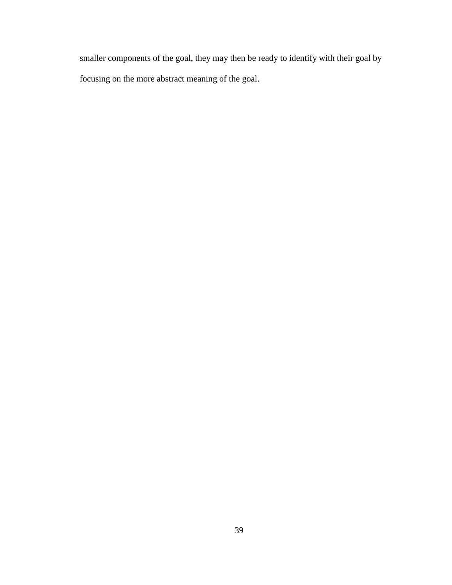smaller components of the goal, they may then be ready to identify with their goal by focusing on the more abstract meaning of the goal.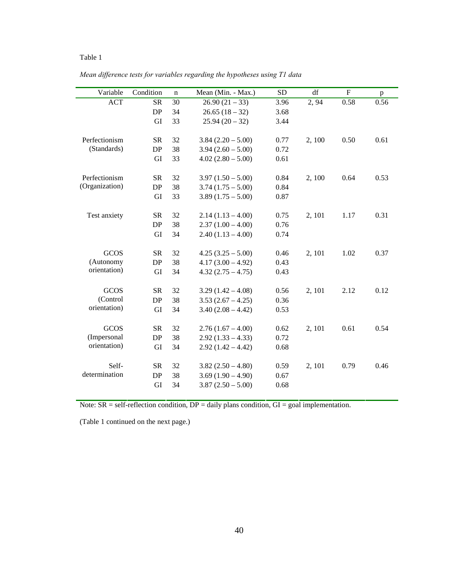*Mean difference tests for variables regarding the hypotheses using T1 data* 

| Variable       | Condition | n  | Mean (Min. - Max.)  | <b>SD</b> | df     | $\mathbf F$ | p    |
|----------------|-----------|----|---------------------|-----------|--------|-------------|------|
| <b>ACT</b>     | <b>SR</b> | 30 | $26.90(21-33)$      | 3.96      | 2, 94  | 0.58        | 0.56 |
|                | DP        | 34 | $26.65(18-32)$      | 3.68      |        |             |      |
|                | GI        | 33 | $25.94(20-32)$      | 3.44      |        |             |      |
|                |           |    |                     |           |        |             |      |
| Perfectionism  | <b>SR</b> | 32 | $3.84(2.20 - 5.00)$ | 0.77      | 2, 100 | 0.50        | 0.61 |
| (Standards)    | $DP$      | 38 | $3.94(2.60 - 5.00)$ | 0.72      |        |             |      |
|                | GI        | 33 | $4.02(2.80 - 5.00)$ | 0.61      |        |             |      |
|                |           |    |                     |           |        |             |      |
| Perfectionism  | <b>SR</b> | 32 | $3.97(1.50 - 5.00)$ | 0.84      | 2,100  | 0.64        | 0.53 |
| (Organization) | DP        | 38 | $3.74(1.75-5.00)$   | 0.84      |        |             |      |
|                | GI        | 33 | $3.89(1.75 - 5.00)$ | 0.87      |        |             |      |
|                |           |    |                     |           |        |             |      |
| Test anxiety   | SR        | 32 | $2.14(1.13 - 4.00)$ | 0.75      | 2, 101 | 1.17        | 0.31 |
|                | DP        | 38 | $2.37(1.00 - 4.00)$ | 0.76      |        |             |      |
|                | GI        | 34 | $2.40(1.13 - 4.00)$ | 0.74      |        |             |      |
|                |           |    |                     |           |        |             |      |
| <b>GCOS</b>    | <b>SR</b> | 32 | $4.25(3.25-5.00)$   | 0.46      | 2, 101 | 1.02        | 0.37 |
| (Autonomy      | DP        | 38 | $4.17(3.00 - 4.92)$ | 0.43      |        |             |      |
| orientation)   | GI        | 34 | $4.32(2.75 - 4.75)$ | 0.43      |        |             |      |
|                |           |    |                     |           |        |             |      |
| GCOS           | <b>SR</b> | 32 | $3.29(1.42 - 4.08)$ | 0.56      | 2, 101 | 2.12        | 0.12 |
| (Control       | DP        | 38 | $3.53(2.67 - 4.25)$ | 0.36      |        |             |      |
| orientation)   | GI        | 34 | $3.40(2.08 - 4.42)$ | 0.53      |        |             |      |
|                |           |    |                     |           |        |             |      |
| <b>GCOS</b>    | <b>SR</b> | 32 | $2.76(1.67 - 4.00)$ | 0.62      | 2, 101 | 0.61        | 0.54 |
| (Impersonal    | DP        | 38 | $2.92(1.33 - 4.33)$ | 0.72      |        |             |      |
| orientation)   | GI        | 34 | $2.92(1.42 - 4.42)$ | 0.68      |        |             |      |
|                |           |    |                     |           |        |             |      |
| Self-          | SR        | 32 | $3.82(2.50 - 4.80)$ | 0.59      | 2, 101 | 0.79        | 0.46 |
| determination  | DP        | 38 | $3.69(1.90 - 4.90)$ | 0.67      |        |             |      |
|                | GI        | 34 | $3.87(2.50 - 5.00)$ | 0.68      |        |             |      |
|                |           |    |                     |           |        |             |      |

Note:  $SR = self-reflection condition$ ,  $DP = daily plans condition$ ,  $GI = goal implementation$ .

(Table 1 continued on the next page.)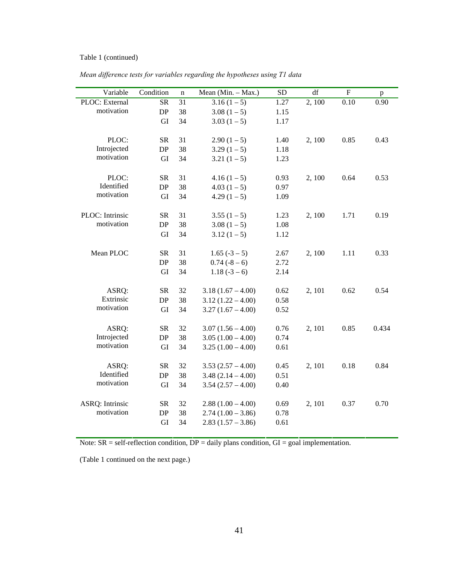#### Table 1 (continued)

*Mean difference tests for variables regarding the hypotheses using T1 data* 

| Variable               | Condition  | $\mathbf n$ | Mean (Min. - Max.)  | <b>SD</b> | df     | ${\bf F}$ | $\, {\bf p}$ |
|------------------------|------------|-------------|---------------------|-----------|--------|-----------|--------------|
| PLOC: External         | <b>SR</b>  | 31          | $3.16(1-5)$         | 1.27      | 2,100  | 0.10      | 0.90         |
| motivation             | DP         | 38          | $3.08(1-5)$         | 1.15      |        |           |              |
|                        | GI         | 34          | $3.03(1-5)$         | 1.17      |        |           |              |
|                        |            |             |                     |           |        |           |              |
| PLOC:                  | <b>SR</b>  | 31          | $2.90(1-5)$         | 1.40      | 2,100  | 0.85      | 0.43         |
| Introjected            | DP         | 38          | $3.29(1-5)$         | 1.18      |        |           |              |
| motivation             | GI         | 34          | $3.21(1-5)$         | 1.23      |        |           |              |
|                        |            |             |                     |           |        |           |              |
| PLOC:                  | <b>SR</b>  | 31          | $4.16(1-5)$         | 0.93      | 2, 100 | 0.64      | 0.53         |
| Identified             | ${\rm DP}$ | 38          | $4.03(1-5)$         | 0.97      |        |           |              |
| motivation             | GI         | 34          | $4.29(1-5)$         | 1.09      |        |           |              |
|                        |            |             |                     |           |        |           |              |
| PLOC: Intrinsic        | <b>SR</b>  | 31          | $3.55(1-5)$         | 1.23      | 2,100  | 1.71      | 0.19         |
| motivation             | DP         | 38          | $3.08(1-5)$         | 1.08      |        |           |              |
|                        | GI         | 34          | $3.12(1-5)$         | 1.12      |        |           |              |
|                        |            |             |                     |           |        |           |              |
| Mean PLOC              | <b>SR</b>  | 31          | $1.65(-3-5)$        | 2.67      | 2,100  | 1.11      | 0.33         |
|                        | DP         | 38          | $0.74(-8-6)$        | 2.72      |        |           |              |
|                        | GI         | 34          | $1.18(-3-6)$        | 2.14      |        |           |              |
|                        |            |             |                     |           |        |           |              |
| ASRQ:                  | <b>SR</b>  | 32          | $3.18(1.67 - 4.00)$ | 0.62      | 2, 101 | 0.62      | 0.54         |
| Extrinsic              | DP         | 38          | $3.12(1.22 - 4.00)$ | 0.58      |        |           |              |
| motivation             | GI         | 34          | $3.27(1.67 - 4.00)$ | 0.52      |        |           |              |
|                        |            |             |                     |           |        |           |              |
| ASRQ:                  | <b>SR</b>  | 32          | $3.07(1.56 - 4.00)$ | 0.76      | 2, 101 | 0.85      | 0.434        |
| Introjected            | DP         | 38          | $3.05(1.00 - 4.00)$ | 0.74      |        |           |              |
| motivation             | GI         | 34          | $3.25(1.00 - 4.00)$ | 0.61      |        |           |              |
|                        |            |             |                     |           |        |           |              |
| ASRQ:                  | <b>SR</b>  | 32          | $3.53(2.57 - 4.00)$ | 0.45      | 2, 101 | 0.18      | 0.84         |
| Identified             | DP         | 38          | $3.48(2.14 - 4.00)$ | 0.51      |        |           |              |
| motivation             | GI         | 34          | $3.54(2.57 - 4.00)$ | 0.40      |        |           |              |
|                        |            |             |                     |           |        |           |              |
| <b>ASRQ: Intrinsic</b> | <b>SR</b>  | 32          | $2.88(1.00 - 4.00)$ | 0.69      | 2, 101 | 0.37      | 0.70         |
| motivation             | DP         | 38          | $2.74(1.00 - 3.86)$ | 0.78      |        |           |              |
|                        | GI         | 34          | $2.83(1.57 - 3.86)$ | 0.61      |        |           |              |

Note:  $SR = self-reflection condition, DP = daily plans condition, GI = goal implementation.$ 

(Table 1 continued on the next page.)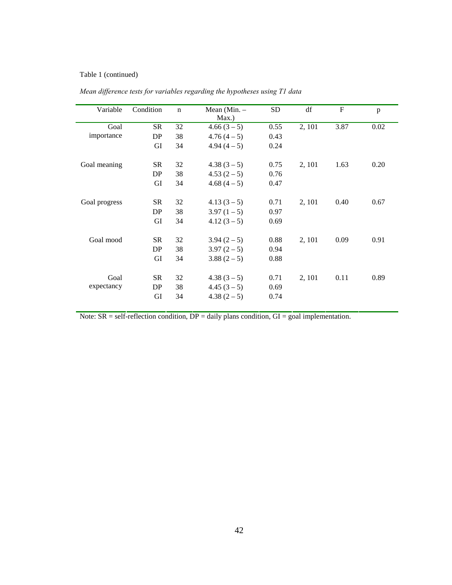#### Table 1 (continued)

| Variable      | Condition | $\mathbf n$ | Mean $(Min. –$<br>Max.) | <b>SD</b> | df     | $\mathbf{F}$ | p    |
|---------------|-----------|-------------|-------------------------|-----------|--------|--------------|------|
| Goal          | <b>SR</b> | 32          | $4.66(3-5)$             | 0.55      | 2, 101 | 3.87         | 0.02 |
| importance    | DP        | 38          | $4.76(4-5)$             | 0.43      |        |              |      |
|               | GI        | 34          | $4.94(4-5)$             | 0.24      |        |              |      |
|               |           |             |                         |           |        |              |      |
| Goal meaning  | <b>SR</b> | 32          | $4.38(3-5)$             | 0.75      | 2, 101 | 1.63         | 0.20 |
|               | DP        | 38          | $4.53(2-5)$             | 0.76      |        |              |      |
|               | GI        | 34          | $4.68(4-5)$             | 0.47      |        |              |      |
|               |           |             |                         |           |        |              |      |
| Goal progress | <b>SR</b> | 32          | $4.13(3-5)$             | 0.71      | 2, 101 | 0.40         | 0.67 |
|               | DP        | 38          | $3.97(1-5)$             | 0.97      |        |              |      |
|               | GI        | 34          | $4.12(3-5)$             | 0.69      |        |              |      |
|               |           |             |                         |           |        |              |      |
| Goal mood     | <b>SR</b> | 32          | $3.94(2-5)$             | 0.88      | 2, 101 | 0.09         | 0.91 |
|               | DP        | 38          | $3.97(2-5)$             | 0.94      |        |              |      |
|               | GI        | 34          | $3.88(2-5)$             | 0.88      |        |              |      |
|               |           |             |                         |           |        |              |      |
| Goal          | <b>SR</b> | 32          | $4.38(3-5)$             | 0.71      | 2, 101 | 0.11         | 0.89 |
| expectancy    | DP        | 38          | $4.45(3-5)$             | 0.69      |        |              |      |
|               | GI        | 34          | $4.38(2-5)$             | 0.74      |        |              |      |
|               |           |             |                         |           |        |              |      |

*Mean difference tests for variables regarding the hypotheses using T1 data* 

Note:  $SR = self-reflection condition, DP = daily plans condition, GI = goal implementation.$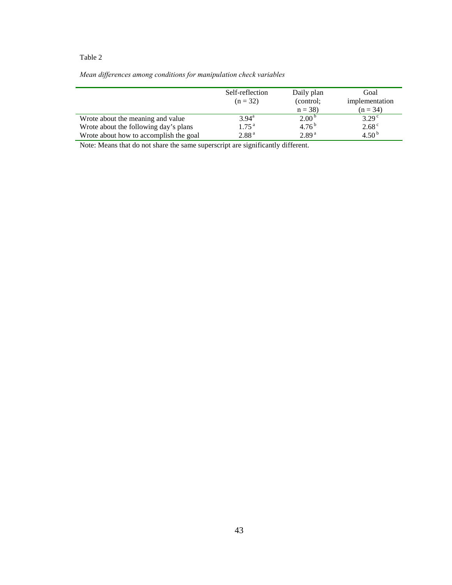|  | Mean differences among conditions for manipulation check variables |  |  |  |
|--|--------------------------------------------------------------------|--|--|--|
|  |                                                                    |  |  |  |

|                                                                                 | Self-reflection<br>$(n = 32)$          | Daily plan<br>(control:<br>$n = 38$ | Goal<br>implementation<br>$(n = 34)$ |
|---------------------------------------------------------------------------------|----------------------------------------|-------------------------------------|--------------------------------------|
| Wrote about the meaning and value                                               | $3.94^{\rm a}$                         | 2.00 <sup>b</sup>                   | 3.29 <sup>c</sup>                    |
| Wrote about the following day's plans<br>Wrote about how to accomplish the goal | 1.75 <sup>a</sup><br>2.88 <sup>a</sup> | $4.76^{b}$<br>2.89 <sup>a</sup>     | 2.68 <sup>c</sup><br>4.50 $^{\rm b}$ |

Note: Means that do not share the same superscript are significantly different.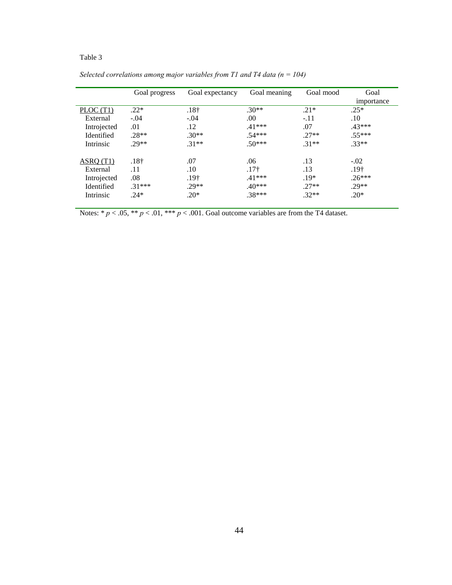|             | Goal progress    | Goal expectancy | Goal meaning | Goal mood | Goal<br>importance |
|-------------|------------------|-----------------|--------------|-----------|--------------------|
| PLOC (T1)   | $.22*$           | $.18+$          | $.30**$      | $.21*$    | $.25*$             |
| External    | $-.04$           | $-.04$          | .00          | $-.11$    | .10                |
| Introjected | .01              | .12             | $.41***$     | .07       | $.43***$           |
| Identified  | $.28**$          | $.30**$         | $.54***$     | $.27**$   | $.55***$           |
| Intrinsic   | $29**$           | $.31**$         | $.50***$     | $.31**$   | $.33**$            |
| ASRO(T1)    | .18 <sup>†</sup> | .07             | .06          | .13       | $-.02$             |
| External    | .11              | .10             | $.17+$       | .13       | $.19+$             |
| Introjected | .08              | $.19+$          | $.41***$     | $.19*$    | $.26***$           |
| Identified  | $.31***$         | .29**           | $.40***$     | $.27**$   | .29**              |
| Intrinsic   | $.24*$           | $.20*$          | .38***       | $.32**$   | $.20*$             |

*Selected correlations among major variables from T1 and T4 data (n = 104)* 

Notes:  $* p < .05, ** p < .01, *** p < .001$ . Goal outcome variables are from the T4 dataset.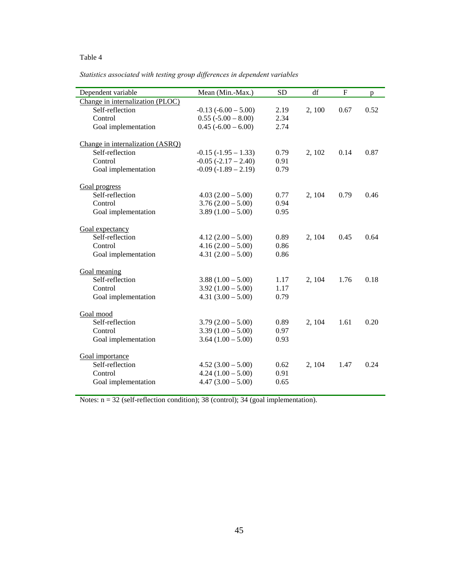*Statistics associated with testing group differences in dependent variables* 

| Dependent variable                                  | Mean (Min.-Max.)         | <b>SD</b> | df     | $\mathbf F$ | p    |
|-----------------------------------------------------|--------------------------|-----------|--------|-------------|------|
| Change in internalization (PLOC)                    |                          |           |        |             |      |
| Self-reflection                                     | $-0.13$ $(-6.00 - 5.00)$ | 2.19      | 2, 100 | 0.67        | 0.52 |
| Control                                             | $0.55 (-5.00 - 8.00)$    | 2.34      |        |             |      |
| Goal implementation                                 | $0.45 (-6.00 - 6.00)$    | 2.74      |        |             |      |
|                                                     |                          |           |        |             |      |
| Change in internalization (ASRQ)<br>Self-reflection | $-0.15$ $(-1.95 - 1.33)$ | 0.79      | 2, 102 | 0.14        | 0.87 |
| Control                                             | $-0.05$ $(-2.17 - 2.40)$ | 0.91      |        |             |      |
|                                                     |                          |           |        |             |      |
| Goal implementation                                 | $-0.09(-1.89 - 2.19)$    | 0.79      |        |             |      |
| Goal progress                                       |                          |           |        |             |      |
| Self-reflection                                     | $4.03(2.00 - 5.00)$      | 0.77      | 2, 104 | 0.79        | 0.46 |
| Control                                             | $3.76(2.00 - 5.00)$      | 0.94      |        |             |      |
| Goal implementation                                 | $3.89(1.00 - 5.00)$      | 0.95      |        |             |      |
| Goal expectancy                                     |                          |           |        |             |      |
| Self-reflection                                     | $4.12(2.00 - 5.00)$      | 0.89      |        | 0.45        | 0.64 |
|                                                     |                          |           | 2, 104 |             |      |
| Control                                             | $4.16(2.00 - 5.00)$      | 0.86      |        |             |      |
| Goal implementation                                 | $4.31(2.00 - 5.00)$      | 0.86      |        |             |      |
| Goal meaning                                        |                          |           |        |             |      |
| Self-reflection                                     | $3.88(1.00 - 5.00)$      | 1.17      | 2, 104 | 1.76        | 0.18 |
| Control                                             | $3.92(1.00 - 5.00)$      | 1.17      |        |             |      |
| Goal implementation                                 | $4.31(3.00 - 5.00)$      | 0.79      |        |             |      |
|                                                     |                          |           |        |             |      |
| Goal mood<br>Self-reflection                        |                          |           |        |             | 0.20 |
|                                                     | $3.79(2.00 - 5.00)$      | 0.89      | 2, 104 | 1.61        |      |
| Control                                             | $3.39(1.00 - 5.00)$      | 0.97      |        |             |      |
| Goal implementation                                 | $3.64(1.00 - 5.00)$      | 0.93      |        |             |      |
| Goal importance                                     |                          |           |        |             |      |
| Self-reflection                                     | $4.52(3.00 - 5.00)$      | 0.62      | 2, 104 | 1.47        | 0.24 |
| Control                                             | $4.24(1.00 - 5.00)$      | 0.91      |        |             |      |
| Goal implementation                                 | $4.47(3.00 - 5.00)$      | 0.65      |        |             |      |
|                                                     |                          |           |        |             |      |

Notes: n = 32 (self-reflection condition); 38 (control); 34 (goal implementation).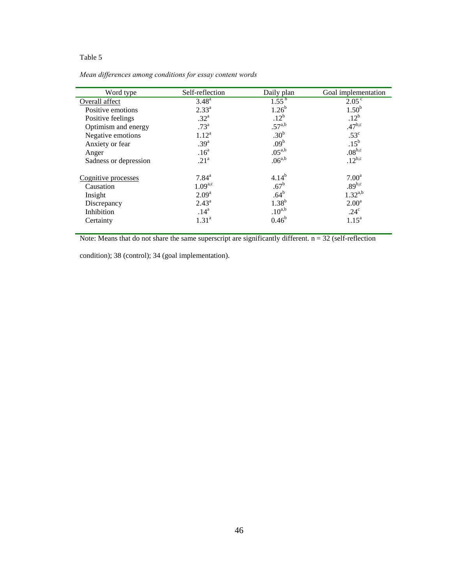*Mean differences among conditions for essay content words* 

| Self-reflection     | Daily plan     | Goal implementation                                                                                                                                                                                                  |
|---------------------|----------------|----------------------------------------------------------------------------------------------------------------------------------------------------------------------------------------------------------------------|
| $3.48^{a}$          |                | 2.05 <sup>c</sup>                                                                                                                                                                                                    |
| $2.33^{a}$          |                | $1.50^{b}$                                                                                                                                                                                                           |
| .32 <sup>a</sup>    |                | .12 <sup>b</sup>                                                                                                                                                                                                     |
| .73 <sup>a</sup>    |                | $.47^{b,c}$                                                                                                                                                                                                          |
| $1.12^{a}$          |                | $.53^{\circ}$                                                                                                                                                                                                        |
| .39 <sup>a</sup>    |                | $.15^{\rm b}$                                                                                                                                                                                                        |
| .16 <sup>a</sup>    |                | $.08^{\rm b,c}$                                                                                                                                                                                                      |
| .21 <sup>a</sup>    |                | $.12^{b,c}$                                                                                                                                                                                                          |
| $7.84^{\mathrm{a}}$ | $4.14^{b}$     | 7.00 <sup>a</sup>                                                                                                                                                                                                    |
| $1.09^{a,c}$        |                | $.89^{b,c}$                                                                                                                                                                                                          |
| 2.09 <sup>a</sup>   |                | $1.32^{a,b}$                                                                                                                                                                                                         |
| $2.43^{\circ}$      |                | 2.00 <sup>a</sup>                                                                                                                                                                                                    |
| .14 <sup>a</sup>    |                | .24 <sup>c</sup>                                                                                                                                                                                                     |
| 1.31 <sup>a</sup>   | $0.46^{\rm b}$ | $1.15^a$                                                                                                                                                                                                             |
|                     |                | $1.55^{b}$<br>$1.26^{b}$<br>.12 <sup>b</sup><br>$.57^{a,b}$<br>.30 <sup>b</sup><br>.09 <sup>b</sup><br>$.05^{\text{a},\text{b}}$<br>$.06^{a,b}$<br>.67 <sup>b</sup><br>.64 <sup>b</sup><br>$1.38^{b}$<br>$.10^{a,b}$ |

Note: Means that do not share the same superscript are significantly different.  $n = 32$  (self-reflection

condition); 38 (control); 34 (goal implementation).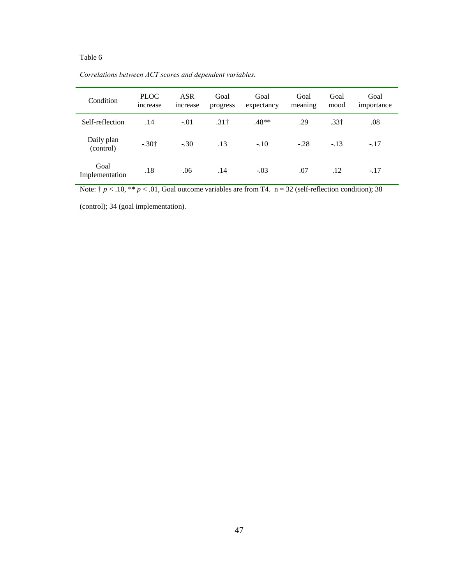| Condition               | <b>PLOC</b><br><i>ncrease</i> | <b>ASR</b><br>increase | Goal<br>progress | Goal<br>expectancy | Goal<br>meaning | Goal<br>mood     | Goal<br>importance |
|-------------------------|-------------------------------|------------------------|------------------|--------------------|-----------------|------------------|--------------------|
| Self-reflection         | .14                           | $-.01$                 | .31 <sup>†</sup> | $.48**$            | .29             | .33 <sup>†</sup> | .08                |
| Daily plan<br>(control) | $-.30†$                       | $-.30$                 | .13              | $-.10$             | $-.28$          | $-.13$           | $-.17$             |
| Goal<br>Implementation  | .18                           | .06                    | .14              | $-.03$             | .07             | .12              | $-.17$             |

*Correlations between ACT scores and dependent variables.* 

Note:  $\frac{1}{7} p < .10$ , \*\*  $p < .01$ , Goal outcome variables are from T4. n = 32 (self-reflection condition); 38

(control); 34 (goal implementation).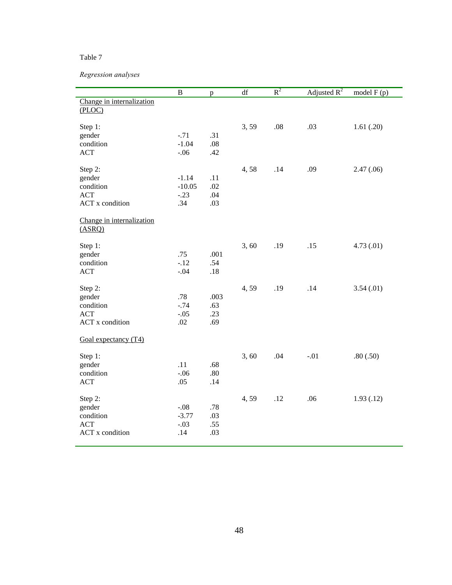# *Regression analyses*

|                                                                        | $\bf{B}$                             | p                         | df   | $R^2$ | Adjusted $R^2$ | model $F(p)$ |
|------------------------------------------------------------------------|--------------------------------------|---------------------------|------|-------|----------------|--------------|
| Change in internalization<br>(PLOC)                                    |                                      |                           |      |       |                |              |
| Step 1:<br>gender<br>condition<br><b>ACT</b>                           | $-.71$<br>$-1.04$<br>$-.06$          | .31<br>.08<br>.42         | 3,59 | .08   | .03            | 1.61(.20)    |
| Step 2:<br>gender<br>condition<br><b>ACT</b><br><b>ACT</b> x condition | $-1.14$<br>$-10.05$<br>$-.23$<br>.34 | .11<br>.02<br>.04<br>.03  | 4,58 | .14   | .09            | 2.47(.06)    |
| Change in internalization<br>(ASRQ)                                    |                                      |                           |      |       |                |              |
| Step 1:<br>gender<br>condition<br><b>ACT</b>                           | .75<br>$-.12$<br>$-.04$              | .001<br>.54<br>.18        | 3,60 | .19   | .15            | 4.73(0.01)   |
| Step 2:<br>gender<br>condition<br><b>ACT</b><br><b>ACT</b> x condition | .78<br>$-.74$<br>$-.05$<br>.02       | .003<br>.63<br>.23<br>.69 | 4,59 | .19   | .14            | 3.54(0.01)   |
| Goal expectancy $(T4)$                                                 |                                      |                           |      |       |                |              |
| Step 1:<br>gender<br>condition<br><b>ACT</b>                           | .11<br>$-.06$<br>.05                 | .68<br>.80<br>.14         | 3,60 | .04   | $-.01$         | .80(.50)     |
| Step 2:<br>gender<br>condition<br><b>ACT</b><br><b>ACT</b> x condition | $-.08$<br>$-3.77$<br>$-.03$<br>.14   | .78<br>.03<br>.55<br>.03  | 4,59 | .12   | .06            | 1.93(0.12)   |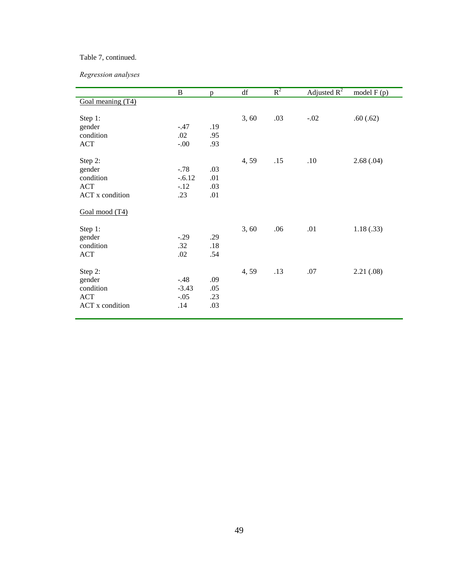## Table 7, continued.

*Regression analyses* 

|                        | $\bf{B}$ | p       | $\mathrm{d}\mathbf{f}$ | $R^2$ | Adjusted $R^2$ | model $F(p)$ |
|------------------------|----------|---------|------------------------|-------|----------------|--------------|
| Goal meaning (T4)      |          |         |                        |       |                |              |
|                        |          |         |                        |       |                |              |
| Step 1:                |          |         | 3,60                   | .03   | $-.02$         | .60(.62)     |
| gender                 | $-.47$   | .19     |                        |       |                |              |
| condition              | .02      | .95     |                        |       |                |              |
| <b>ACT</b>             | $-.00$   | .93     |                        |       |                |              |
|                        |          |         | 4,59                   | .15   | .10            | 2.68(.04)    |
| Step 2:<br>gender      | $-.78$   | .03     |                        |       |                |              |
| condition              | $-.6.12$ | .01     |                        |       |                |              |
| <b>ACT</b>             | $-.12$   | .03     |                        |       |                |              |
| <b>ACT</b> x condition | .23      | .01     |                        |       |                |              |
|                        |          |         |                        |       |                |              |
| Goal mood (T4)         |          |         |                        |       |                |              |
| Step 1:                |          |         | 3,60                   | .06   | .01            | 1.18(.33)    |
| gender                 | $-.29$   | .29     |                        |       |                |              |
| condition              | .32      | $.18\,$ |                        |       |                |              |
| ACT                    | .02      | .54     |                        |       |                |              |
|                        |          |         |                        |       |                |              |
| Step 2:                |          |         | 4,59                   | .13   | .07            | 2.21(.08)    |
| gender                 | $-.48$   | .09     |                        |       |                |              |
| condition              | $-3.43$  | .05     |                        |       |                |              |
| <b>ACT</b>             | $-.05$   | .23     |                        |       |                |              |
| <b>ACT</b> x condition | .14      | .03     |                        |       |                |              |
|                        |          |         |                        |       |                |              |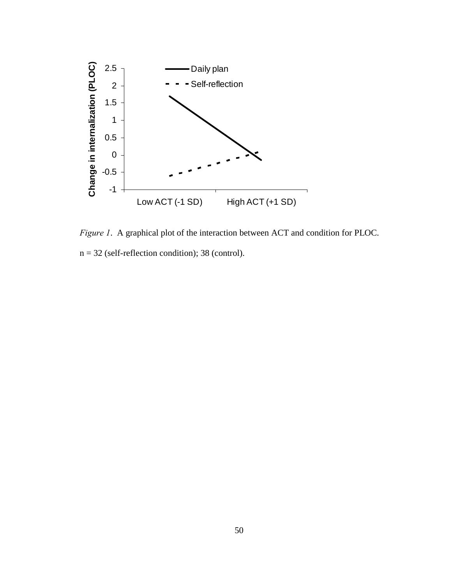

*Figure 1*. A graphical plot of the interaction between ACT and condition for PLOC.

 $n = 32$  (self-reflection condition); 38 (control).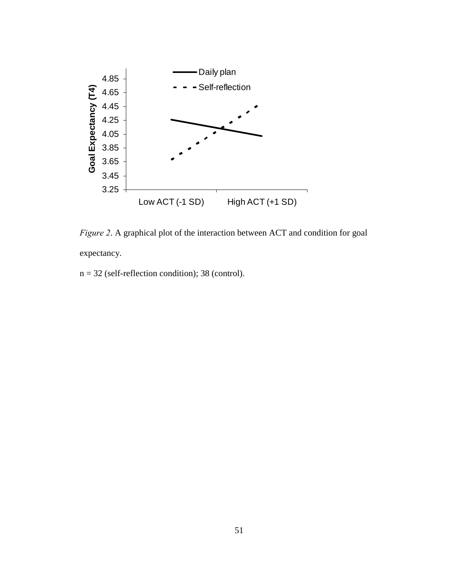

*Figure 2*. A graphical plot of the interaction between ACT and condition for goal expectancy.

 $n = 32$  (self-reflection condition); 38 (control).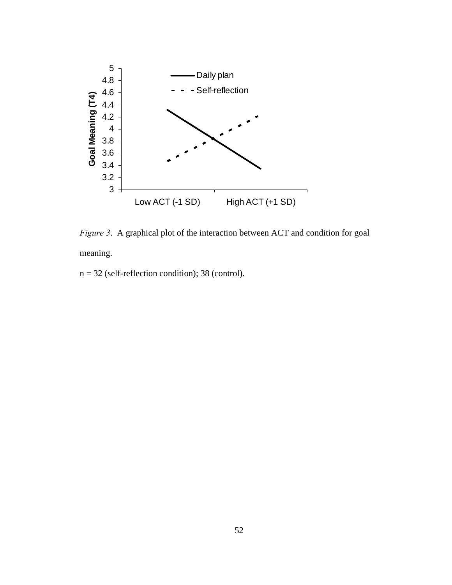

*Figure 3.* A graphical plot of the interaction between ACT and condition for goal meaning.

 $n = 32$  (self-reflection condition); 38 (control).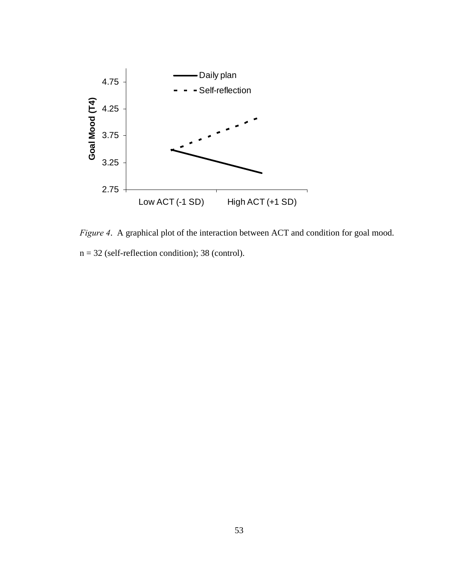

*Figure 4*. A graphical plot of the interaction between ACT and condition for goal mood.  $n = 32$  (self-reflection condition); 38 (control).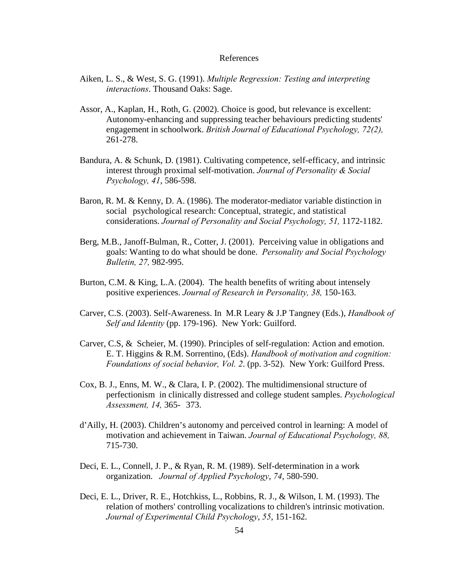#### References

- Aiken, L. S., & West, S. G. (1991). *Multiple Regression: Testing and interpreting interactions*. Thousand Oaks: Sage.
- Assor, A., Kaplan, H., Roth, G. (2002). Choice is good, but relevance is excellent: Autonomy-enhancing and suppressing teacher behaviours predicting students' engagement in schoolwork. *British Journal of Educational Psychology, 72(2),* 261-278.
- Bandura, A. & Schunk, D. (1981). Cultivating competence, self-efficacy, and intrinsic interest through proximal self-motivation. *Journal of Personality & Social Psychology, 41*, 586-598.
- Baron, R. M. & Kenny, D. A. (1986). The moderator-mediator variable distinction in social psychological research: Conceptual, strategic, and statistical considerations. *Journal of Personality and Social Psychology, 51,* 1172-1182.
- Berg, M.B., Janoff-Bulman, R., Cotter, J. (2001). Perceiving value in obligations and goals: Wanting to do what should be done. *Personality and Social Psychology Bulletin, 27,* 982-995.
- Burton, C.M. & King, L.A. (2004). The health benefits of writing about intensely positive experiences. *Journal of Research in Personality, 38,* 150-163.
- Carver, C.S. (2003). Self-Awareness. In M.R Leary & J.P Tangney (Eds.), *Handbook of Self and Identity* (pp. 179-196). New York: Guilford.
- Carver, C.S, & Scheier, M. (1990). Principles of self-regulation: Action and emotion. E. T. Higgins & R.M. Sorrentino, (Eds). *Handbook of motivation and cognition: Foundations of social behavior, Vol. 2*. (pp. 3-52). New York: Guilford Press.
- Cox, B. J., Enns, M. W., & Clara, I. P. (2002). The multidimensional structure of perfectionism in clinically distressed and college student samples. *Psychological Assessment, 14,* 365- 373.
- d'Ailly, H. (2003). Children's autonomy and perceived control in learning: A model of motivation and achievement in Taiwan. *Journal of Educational Psychology, 88,*  715-730.
- Deci, E. L., Connell, J. P., & Ryan, R. M. (1989). Self-determination in a work organization. *Journal of Applied Psychology*, *74*, 580-590.
- Deci, E. L., Driver, R. E., Hotchkiss, L., Robbins, R. J., & Wilson, I. M. (1993). The relation of mothers' controlling vocalizations to children's intrinsic motivation. *Journal of Experimental Child Psychology*, *55*, 151-162.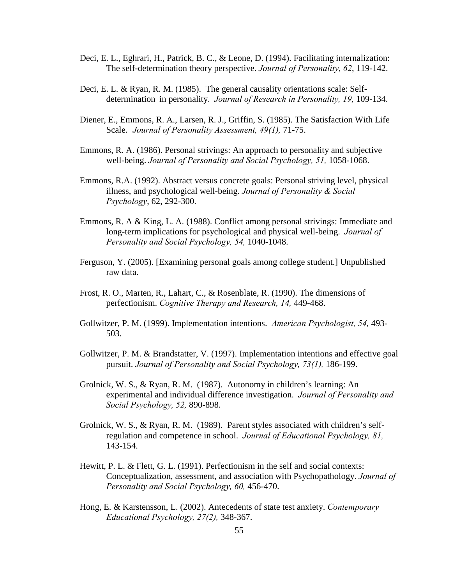- Deci, E. L., Eghrari, H., Patrick, B. C., & Leone, D. (1994). Facilitating internalization: The self-determination theory perspective. *Journal of Personality*, *62*, 119-142.
- Deci, E. L. & Ryan, R. M. (1985). The general causality orientations scale: Self determination in personality. *Journal of Research in Personality, 19,* 109-134.
- Diener, E., Emmons, R. A., Larsen, R. J., Griffin, S. (1985). The Satisfaction With Life Scale. *Journal of Personality Assessment, 49(1),* 71-75.
- Emmons, R. A. (1986). Personal strivings: An approach to personality and subjective well-being. *Journal of Personality and Social Psychology, 51, 1058-1068.*
- Emmons, R.A. (1992). Abstract versus concrete goals: Personal striving level, physical illness, and psychological well-being. *Journal of Personality & Social Psychology*, 62, 292-300.
- Emmons, R. A & King, L. A. (1988). Conflict among personal strivings: Immediate and long-term implications for psychological and physical well-being. *Journal of Personality and Social Psychology, 54,* 1040-1048.
- Ferguson, Y. (2005). [Examining personal goals among college student.] Unpublished raw data.
- Frost, R. O., Marten, R., Lahart, C., & Rosenblate, R. (1990). The dimensions of perfectionism. *Cognitive Therapy and Research, 14,* 449-468.
- Gollwitzer, P. M. (1999). Implementation intentions. *American Psychologist, 54,* 493- 503.
- Gollwitzer, P. M. & Brandstatter, V. (1997). Implementation intentions and effective goal pursuit. *Journal of Personality and Social Psychology, 73(1),* 186-199.
- Grolnick, W. S., & Ryan, R. M. (1987). Autonomy in children's learning: An experimental and individual difference investigation. *Journal of Personality and Social Psychology, 52,* 890-898.
- Grolnick, W. S., & Ryan, R. M. (1989). Parent styles associated with children's self regulation and competence in school. *Journal of Educational Psychology, 81,*  143-154.
- Hewitt, P. L. & Flett, G. L. (1991). Perfectionism in the self and social contexts: Conceptualization, assessment, and association with Psychopathology. *Journal of Personality and Social Psychology, 60,* 456-470.
- Hong, E. & Karstensson, L. (2002). Antecedents of state test anxiety. *Contemporary Educational Psychology, 27(2),* 348-367.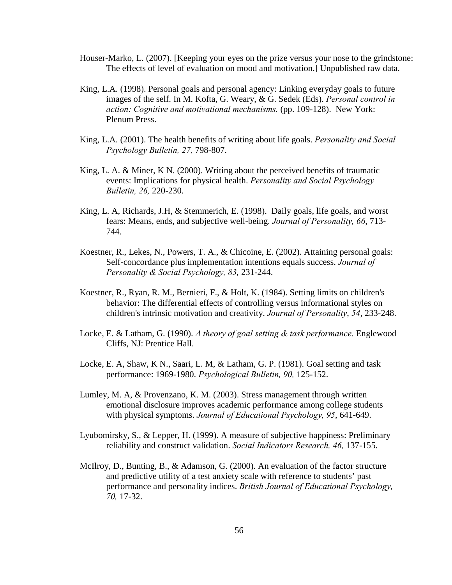- Houser-Marko, L. (2007). [Keeping your eyes on the prize versus your nose to the grindstone: The effects of level of evaluation on mood and motivation.] Unpublished raw data.
- King, L.A. (1998). Personal goals and personal agency: Linking everyday goals to future images of the self. In M. Kofta, G. Weary, & G. Sedek (Eds). *Personal control in action: Cognitive and motivational mechanisms.* (pp. 109-128). New York: Plenum Press.
- King, L.A. (2001). The health benefits of writing about life goals. *Personality and Social Psychology Bulletin, 27,* 798-807.
- King, L. A. & Miner, K N. (2000). Writing about the perceived benefits of traumatic events: Implications for physical health. *Personality and Social Psychology Bulletin, 26,* 220-230.
- King, L. A, Richards, J.H, & Stemmerich, E. (1998). Daily goals, life goals, and worst fears: Means, ends, and subjective well-being. *Journal of Personality, 66*, 713- 744.
- Koestner, R., Lekes, N., Powers, T. A., & Chicoine, E. (2002). Attaining personal goals: Self-concordance plus implementation intentions equals success. *Journal of Personality & Social Psychology, 83,* 231-244.
- Koestner, R., Ryan, R. M., Bernieri, F., & Holt, K. (1984). Setting limits on children's behavior: The differential effects of controlling versus informational styles on children's intrinsic motivation and creativity. *Journal of Personality*, *54*, 233-248.
- Locke, E. & Latham, G. (1990). *A theory of goal setting & task performance.* Englewood Cliffs, NJ: Prentice Hall.
- Locke, E. A, Shaw, K N., Saari, L. M, & Latham, G. P. (1981). Goal setting and task performance: 1969-1980. *Psychological Bulletin, 90,* 125-152.
- Lumley, M. A, & Provenzano, K. M. (2003). Stress management through written emotional disclosure improves academic performance among college students with physical symptoms. *Journal of Educational Psychology, 95*, 641-649.
- Lyubomirsky, S., & Lepper, H. (1999). A measure of subjective happiness: Preliminary reliability and construct validation. *Social Indicators Research, 46,* 137-155.
- McIlroy, D., Bunting, B., & Adamson, G. (2000). An evaluation of the factor structure and predictive utility of a test anxiety scale with reference to students' past performance and personality indices. *British Journal of Educational Psychology, 70,* 17-32.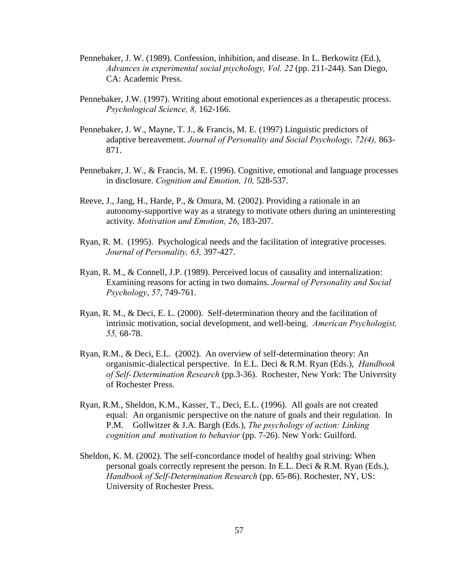- Pennebaker, J. W. (1989). Confession, inhibition, and disease. In L. Berkowitz (Ed.), *Advances in experimental social psychology, Vol. 22* (pp. 211-244). San Diego, CA: Academic Press.
- Pennebaker, J.W. (1997). Writing about emotional experiences as a therapeutic process. *Psychological Science, 8,* 162-166.
- Pennebaker, J. W., Mayne, T. J., & Francis, M. E. (1997) Linguistic predictors of adaptive bereavement. *Journal of Personality and Social Psychology, 72(4),* 863- 871.
- Pennebaker, J. W., & Francis, M. E. (1996). Cognitive, emotional and language processes in disclosure. *Cognition and Emotion, 10,* 528-537.
- Reeve, J., Jang, H., Harde, P., & Omura, M. (2002). Providing a rationale in an autonomy-supportive way as a strategy to motivate others during an uninteresting activity. *Motivation and Emotion, 26*, 183-207.
- Ryan, R. M. (1995). Psychological needs and the facilitation of integrative processes. *Journal of Personality, 63,* 397-427.
- Ryan, R. M., & Connell, J.P. (1989). Perceived locus of causality and internalization: Examining reasons for acting in two domains. *Journal of Personality and Social Psychology*, *57*, 749-761.
- Ryan, R. M., & Deci, E. L. (2000). Self-determination theory and the facilitation of intrinsic motivation, social development, and well-being. *American Psychologist, 55,* 68-78.
- Ryan, R.M., & Deci, E.L. (2002). An overview of self-determination theory: An organismic-dialectical perspective. In E.L. Deci & R.M. Ryan (Eds.), *Handbook of Self- Determination Research* (pp.3-36). Rochester, New York: The University of Rochester Press.
- Ryan, R.M., Sheldon, K.M., Kasser, T., Deci, E.L. (1996). All goals are not created equal: An organismic perspective on the nature of goals and their regulation. In P.M. Gollwitzer & J.A. Bargh (Eds.), *The psychology of action: Linking cognition and motivation to behavior* (pp. 7-26). New York: Guilford.
- Sheldon, K. M. (2002). The self-concordance model of healthy goal striving: When personal goals correctly represent the person. In E.L. Deci & R.M. Ryan (Eds.), *Handbook of Self-Determination Research* (pp. 65-86). Rochester, NY, US: University of Rochester Press.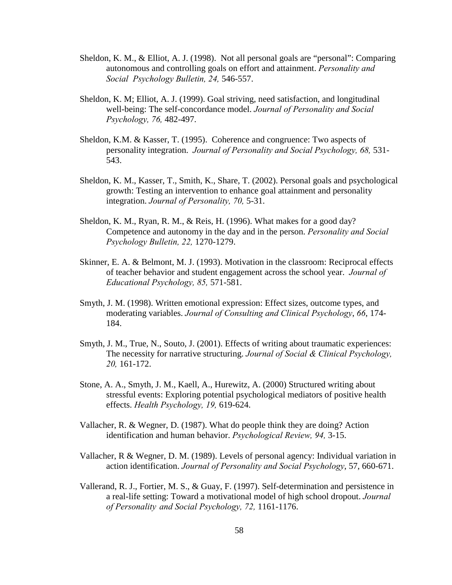- Sheldon, K. M., & Elliot, A. J. (1998). Not all personal goals are "personal": Comparing autonomous and controlling goals on effort and attainment. *Personality and Social Psychology Bulletin, 24,* 546-557.
- Sheldon, K. M; Elliot, A. J. (1999). Goal striving, need satisfaction, and longitudinal well-being: The self-concordance model. *Journal of Personality and Social Psychology, 76,* 482-497.
- Sheldon, K.M. & Kasser, T. (1995). Coherence and congruence: Two aspects of personality integration. *Journal of Personality and Social Psychology, 68,* 531- 543.
- Sheldon, K. M., Kasser, T., Smith, K., Share, T. (2002). Personal goals and psychological growth: Testing an intervention to enhance goal attainment and personality integration. *Journal of Personality, 70,* 5-31.
- Sheldon, K. M., Ryan, R. M., & Reis, H. (1996). What makes for a good day? Competence and autonomy in the day and in the person. *Personality and Social Psychology Bulletin, 22,* 1270-1279.
- Skinner, E. A. & Belmont, M. J. (1993). Motivation in the classroom: Reciprocal effects of teacher behavior and student engagement across the school year. *Journal of Educational Psychology, 85,* 571-581.
- Smyth, J. M. (1998). Written emotional expression: Effect sizes, outcome types, and moderating variables. *Journal of Consulting and Clinical Psychology*, *66*, 174- 184.
- Smyth, J. M., True, N., Souto, J. (2001). Effects of writing about traumatic experiences: The necessity for narrative structuring. *Journal of Social & Clinical Psychology, 20,* 161-172.
- Stone, A. A., Smyth, J. M., Kaell, A., Hurewitz, A. (2000) Structured writing about stressful events: Exploring potential psychological mediators of positive health effects. *Health Psychology, 19,* 619-624.
- Vallacher, R. & Wegner, D. (1987). What do people think they are doing? Action identification and human behavior. *Psychological Review, 94,* 3-15.
- Vallacher, R & Wegner, D. M. (1989). Levels of personal agency: Individual variation in action identification. *Journal of Personality and Social Psychology*, 57, 660-671.
- Vallerand, R. J., Fortier, M. S., & Guay, F. (1997). Self-determination and persistence in a real-life setting: Toward a motivational model of high school dropout. *Journal of Personality and Social Psychology, 72,* 1161-1176.